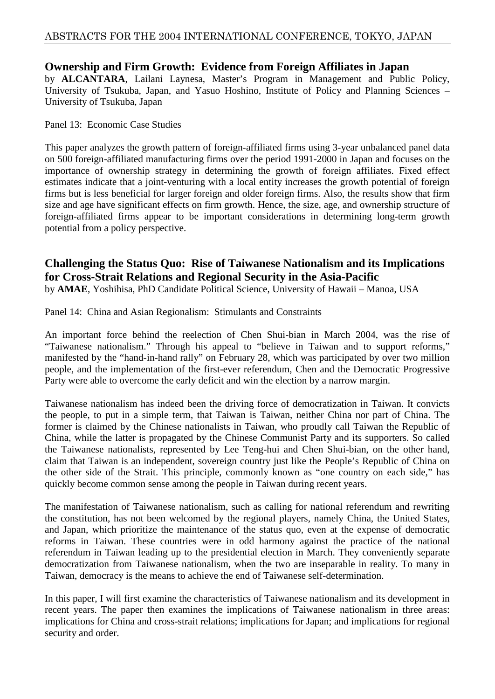# **Ownership and Firm Growth: Evidence from Foreign Affiliates in Japan**

by **ALCANTARA**, Lailani Laynesa, Master's Program in Management and Public Policy, University of Tsukuba, Japan, and Yasuo Hoshino, Institute of Policy and Planning Sciences – University of Tsukuba, Japan

Panel 13: Economic Case Studies

This paper analyzes the growth pattern of foreign-affiliated firms using 3-year unbalanced panel data on 500 foreign-affiliated manufacturing firms over the period 1991-2000 in Japan and focuses on the importance of ownership strategy in determining the growth of foreign affiliates. Fixed effect estimates indicate that a joint-venturing with a local entity increases the growth potential of foreign firms but is less beneficial for larger foreign and older foreign firms. Also, the results show that firm size and age have significant effects on firm growth. Hence, the size, age, and ownership structure of foreign-affiliated firms appear to be important considerations in determining long-term growth potential from a policy perspective.

# **Challenging the Status Quo: Rise of Taiwanese Nationalism and its Implications for Cross-Strait Relations and Regional Security in the Asia-Pacific**

by **AMAE**, Yoshihisa, PhD Candidate Political Science, University of Hawaii – Manoa, USA

Panel 14: China and Asian Regionalism: Stimulants and Constraints

An important force behind the reelection of Chen Shui-bian in March 2004, was the rise of "Taiwanese nationalism." Through his appeal to "believe in Taiwan and to support reforms," manifested by the "hand-in-hand rally" on February 28, which was participated by over two million people, and the implementation of the first-ever referendum, Chen and the Democratic Progressive Party were able to overcome the early deficit and win the election by a narrow margin.

Taiwanese nationalism has indeed been the driving force of democratization in Taiwan. It convicts the people, to put in a simple term, that Taiwan is Taiwan, neither China nor part of China. The former is claimed by the Chinese nationalists in Taiwan, who proudly call Taiwan the Republic of China, while the latter is propagated by the Chinese Communist Party and its supporters. So called the Taiwanese nationalists, represented by Lee Teng-hui and Chen Shui-bian, on the other hand, claim that Taiwan is an independent, sovereign country just like the People's Republic of China on the other side of the Strait. This principle, commonly known as "one country on each side," has quickly become common sense among the people in Taiwan during recent years.

The manifestation of Taiwanese nationalism, such as calling for national referendum and rewriting the constitution, has not been welcomed by the regional players, namely China, the United States, and Japan, which prioritize the maintenance of the status quo, even at the expense of democratic reforms in Taiwan. These countries were in odd harmony against the practice of the national referendum in Taiwan leading up to the presidential election in March. They conveniently separate democratization from Taiwanese nationalism, when the two are inseparable in reality. To many in Taiwan, democracy is the means to achieve the end of Taiwanese self-determination.

In this paper, I will first examine the characteristics of Taiwanese nationalism and its development in recent years. The paper then examines the implications of Taiwanese nationalism in three areas: implications for China and cross-strait relations; implications for Japan; and implications for regional security and order.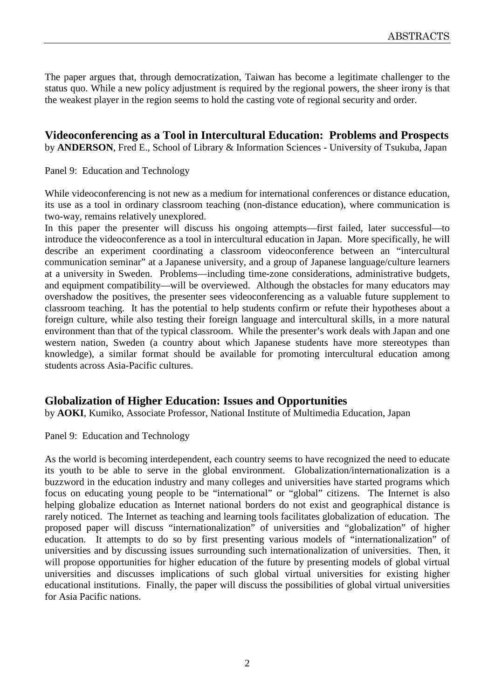The paper argues that, through democratization, Taiwan has become a legitimate challenger to the status quo. While a new policy adjustment is required by the regional powers, the sheer irony is that the weakest player in the region seems to hold the casting vote of regional security and order.

**Videoconferencing as a Tool in Intercultural Education: Problems and Prospects** by **ANDERSON**, Fred E., School of Library & Information Sciences - University of Tsukuba, Japan

Panel 9: Education and Technology

While videoconferencing is not new as a medium for international conferences or distance education, its use as a tool in ordinary classroom teaching (non-distance education), where communication is two-way, remains relatively unexplored.

In this paper the presenter will discuss his ongoing attempts—first failed, later successful—to introduce the videoconference as a tool in intercultural education in Japan. More specifically, he will describe an experiment coordinating a classroom videoconference between an "intercultural communication seminar" at a Japanese university, and a group of Japanese language/culture learners at a university in Sweden. Problems—including time-zone considerations, administrative budgets, and equipment compatibility—will be overviewed. Although the obstacles for many educators may overshadow the positives, the presenter sees videoconferencing as a valuable future supplement to classroom teaching. It has the potential to help students confirm or refute their hypotheses about a foreign culture, while also testing their foreign language and intercultural skills, in a more natural environment than that of the typical classroom. While the presenter's work deals with Japan and one western nation, Sweden (a country about which Japanese students have more stereotypes than knowledge), a similar format should be available for promoting intercultural education among students across Asia-Pacific cultures.

# **Globalization of Higher Education: Issues and Opportunities**

by **AOKI**, Kumiko, Associate Professor, National Institute of Multimedia Education, Japan

Panel 9: Education and Technology

As the world is becoming interdependent, each country seems to have recognized the need to educate its youth to be able to serve in the global environment. Globalization/internationalization is a buzzword in the education industry and many colleges and universities have started programs which focus on educating young people to be "international" or "global" citizens. The Internet is also helping globalize education as Internet national borders do not exist and geographical distance is rarely noticed. The Internet as teaching and learning tools facilitates globalization of education. The proposed paper will discuss "internationalization" of universities and "globalization" of higher education. It attempts to do so by first presenting various models of "internationalization" of universities and by discussing issues surrounding such internationalization of universities. Then, it will propose opportunities for higher education of the future by presenting models of global virtual universities and discusses implications of such global virtual universities for existing higher educational institutions. Finally, the paper will discuss the possibilities of global virtual universities for Asia Pacific nations.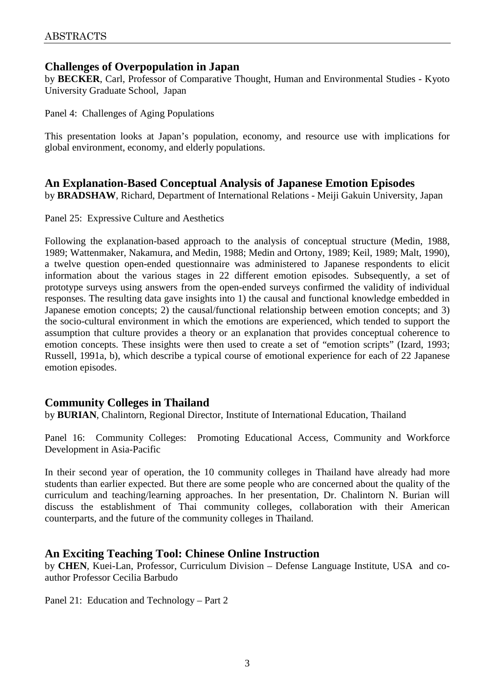# **Challenges of Overpopulation in Japan**

by **BECKER**, Carl, Professor of Comparative Thought, Human and Environmental Studies - Kyoto University Graduate School, Japan

Panel 4: Challenges of Aging Populations

This presentation looks at Japan's population, economy, and resource use with implications for global environment, economy, and elderly populations.

# **An Explanation-Based Conceptual Analysis of Japanese Emotion Episodes**

by **BRADSHAW**, Richard, Department of International Relations - Meiji Gakuin University, Japan

Panel 25: Expressive Culture and Aesthetics

Following the explanation-based approach to the analysis of conceptual structure (Medin, 1988, 1989; Wattenmaker, Nakamura, and Medin, 1988; Medin and Ortony, 1989; Keil, 1989; Malt, 1990), a twelve question open-ended questionnaire was administered to Japanese respondents to elicit information about the various stages in 22 different emotion episodes. Subsequently, a set of prototype surveys using answers from the open-ended surveys confirmed the validity of individual responses. The resulting data gave insights into 1) the causal and functional knowledge embedded in Japanese emotion concepts; 2) the causal/functional relationship between emotion concepts; and 3) the socio-cultural environment in which the emotions are experienced, which tended to support the assumption that culture provides a theory or an explanation that provides conceptual coherence to emotion concepts. These insights were then used to create a set of "emotion scripts" (Izard, 1993; Russell, 1991a, b), which describe a typical course of emotional experience for each of 22 Japanese emotion episodes.

# **Community Colleges in Thailand**

by **BURIAN**, Chalintorn, Regional Director, Institute of International Education, Thailand

Panel 16: Community Colleges: Promoting Educational Access, Community and Workforce Development in Asia-Pacific

In their second year of operation, the 10 community colleges in Thailand have already had more students than earlier expected. But there are some people who are concerned about the quality of the curriculum and teaching/learning approaches. In her presentation, Dr. Chalintorn N. Burian will discuss the establishment of Thai community colleges, collaboration with their American counterparts, and the future of the community colleges in Thailand.

# **An Exciting Teaching Tool: Chinese Online Instruction**

by **CHEN**, Kuei-Lan, Professor, Curriculum Division – Defense Language Institute, USA and coauthor Professor Cecilia Barbudo

Panel 21: Education and Technology – Part 2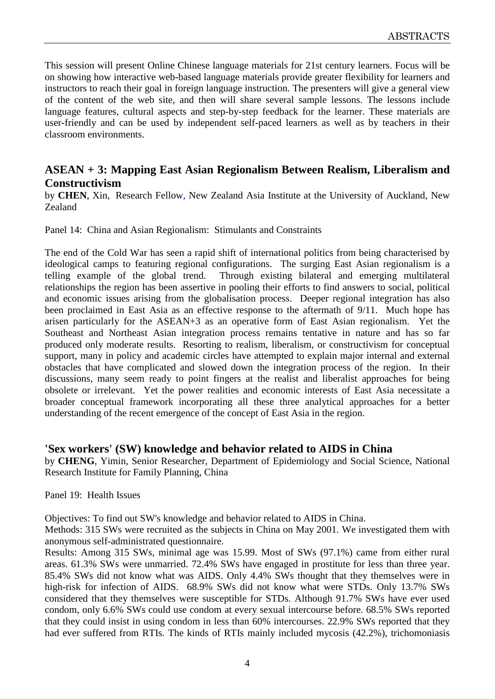This session will present Online Chinese language materials for 21st century learners. Focus will be on showing how interactive web-based language materials provide greater flexibility for learners and instructors to reach their goal in foreign language instruction. The presenters will give a general view of the content of the web site, and then will share several sample lessons. The lessons include language features, cultural aspects and step-by-step feedback for the learner. These materials are user-friendly and can be used by independent self-paced learners as well as by teachers in their classroom environments.

# **ASEAN + 3: Mapping East Asian Regionalism Between Realism, Liberalism and Constructivism**

by **CHEN**, Xin, Research Fellow, New Zealand Asia Institute at the University of Auckland, New Zealand

Panel 14: China and Asian Regionalism: Stimulants and Constraints

The end of the Cold War has seen a rapid shift of international politics from being characterised by ideological camps to featuring regional configurations. The surging East Asian regionalism is a telling example of the global trend. Through existing bilateral and emerging multilateral relationships the region has been assertive in pooling their efforts to find answers to social, political and economic issues arising from the globalisation process. Deeper regional integration has also been proclaimed in East Asia as an effective response to the aftermath of 9/11. Much hope has arisen particularly for the ASEAN+3 as an operative form of East Asian regionalism. Yet the Southeast and Northeast Asian integration process remains tentative in nature and has so far produced only moderate results. Resorting to realism, liberalism, or constructivism for conceptual support, many in policy and academic circles have attempted to explain major internal and external obstacles that have complicated and slowed down the integration process of the region. In their discussions, many seem ready to point fingers at the realist and liberalist approaches for being obsolete or irrelevant. Yet the power realities and economic interests of East Asia necessitate a broader conceptual framework incorporating all these three analytical approaches for a better understanding of the recent emergence of the concept of East Asia in the region.

# **'Sex workers' (SW) knowledge and behavior related to AIDS in China**

by **CHENG**, Yimin, Senior Researcher, Department of Epidemiology and Social Science, National Research Institute for Family Planning, China

#### Panel 19: Health Issues

Objectives: To find out SW's knowledge and behavior related to AIDS in China.

Methods: 315 SWs were recruited as the subjects in China on May 2001. We investigated them with anonymous self-administrated questionnaire.

Results: Among 315 SWs, minimal age was 15.99. Most of SWs (97.1%) came from either rural areas. 61.3% SWs were unmarried. 72.4% SWs have engaged in prostitute for less than three year. 85.4% SWs did not know what was AIDS. Only 4.4% SWs thought that they themselves were in high-risk for infection of AIDS. 68.9% SWs did not know what were STDs. Only 13.7% SWs considered that they themselves were susceptible for STDs. Although 91.7% SWs have ever used condom, only 6.6% SWs could use condom at every sexual intercourse before. 68.5% SWs reported that they could insist in using condom in less than 60% intercourses. 22.9% SWs reported that they had ever suffered from RTIs. The kinds of RTIs mainly included mycosis (42.2%), trichomoniasis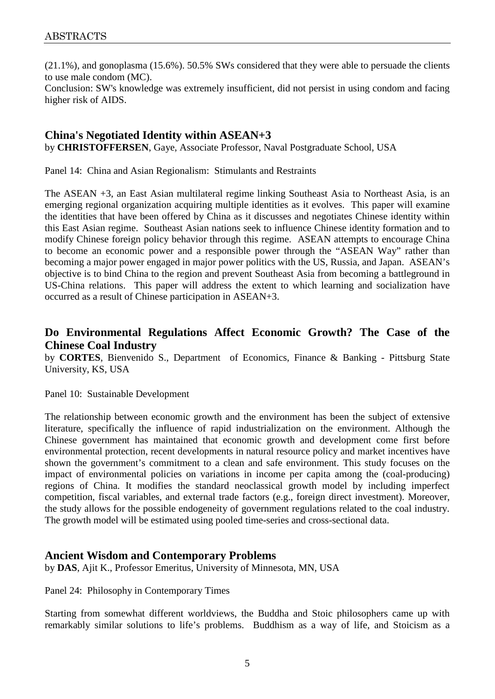(21.1%), and gonoplasma (15.6%). 50.5% SWs considered that they were able to persuade the clients to use male condom (MC).

Conclusion: SW's knowledge was extremely insufficient, did not persist in using condom and facing higher risk of AIDS.

#### **China's Negotiated Identity within ASEAN+3**

by **CHRISTOFFERSEN**, Gaye, Associate Professor, Naval Postgraduate School, USA

Panel 14: China and Asian Regionalism: Stimulants and Restraints

The ASEAN +3, an East Asian multilateral regime linking Southeast Asia to Northeast Asia, is an emerging regional organization acquiring multiple identities as it evolves. This paper will examine the identities that have been offered by China as it discusses and negotiates Chinese identity within this East Asian regime. Southeast Asian nations seek to influence Chinese identity formation and to modify Chinese foreign policy behavior through this regime. ASEAN attempts to encourage China to become an economic power and a responsible power through the "ASEAN Way" rather than becoming a major power engaged in major power politics with the US, Russia, and Japan. ASEAN's objective is to bind China to the region and prevent Southeast Asia from becoming a battleground in US-China relations. This paper will address the extent to which learning and socialization have occurred as a result of Chinese participation in ASEAN+3.

# **Do Environmental Regulations Affect Economic Growth? The Case of the Chinese Coal Industry**

by **CORTES**, Bienvenido S., Department of Economics, Finance & Banking - Pittsburg State University, KS, USA

#### Panel 10: Sustainable Development

The relationship between economic growth and the environment has been the subject of extensive literature, specifically the influence of rapid industrialization on the environment. Although the Chinese government has maintained that economic growth and development come first before environmental protection, recent developments in natural resource policy and market incentives have shown the government's commitment to a clean and safe environment. This study focuses on the impact of environmental policies on variations in income per capita among the (coal-producing) regions of China. It modifies the standard neoclassical growth model by including imperfect competition, fiscal variables, and external trade factors (e.g., foreign direct investment). Moreover, the study allows for the possible endogeneity of government regulations related to the coal industry. The growth model will be estimated using pooled time-series and cross-sectional data.

#### **Ancient Wisdom and Contemporary Problems**

by **DAS**, Ajit K., Professor Emeritus, University of Minnesota, MN, USA

Panel 24: Philosophy in Contemporary Times

Starting from somewhat different worldviews, the Buddha and Stoic philosophers came up with remarkably similar solutions to life's problems. Buddhism as a way of life, and Stoicism as a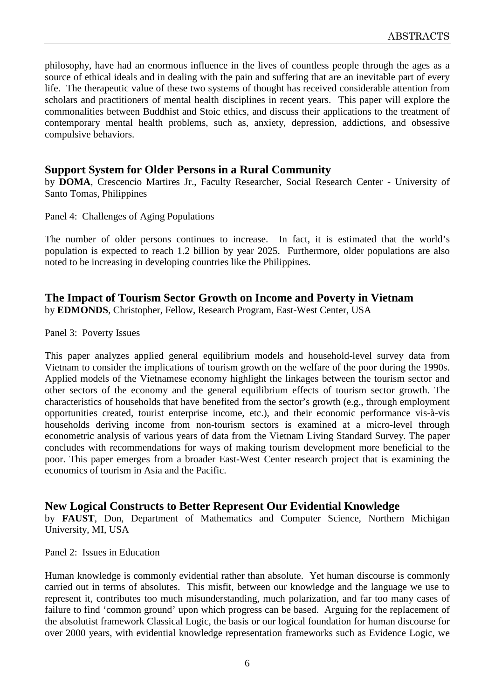philosophy, have had an enormous influence in the lives of countless people through the ages as a source of ethical ideals and in dealing with the pain and suffering that are an inevitable part of every life. The therapeutic value of these two systems of thought has received considerable attention from scholars and practitioners of mental health disciplines in recent years. This paper will explore the commonalities between Buddhist and Stoic ethics, and discuss their applications to the treatment of contemporary mental health problems, such as, anxiety, depression, addictions, and obsessive compulsive behaviors.

### **Support System for Older Persons in a Rural Community**

by **DOMA**, Crescencio Martires Jr., Faculty Researcher, Social Research Center - University of Santo Tomas, Philippines

Panel 4: Challenges of Aging Populations

The number of older persons continues to increase. In fact, it is estimated that the world's population is expected to reach 1.2 billion by year 2025. Furthermore, older populations are also noted to be increasing in developing countries like the Philippines.

#### **The Impact of Tourism Sector Growth on Income and Poverty in Vietnam**

by **EDMONDS**, Christopher, Fellow, Research Program, East-West Center, USA

Panel 3: Poverty Issues

This paper analyzes applied general equilibrium models and household-level survey data from Vietnam to consider the implications of tourism growth on the welfare of the poor during the 1990s. Applied models of the Vietnamese economy highlight the linkages between the tourism sector and other sectors of the economy and the general equilibrium effects of tourism sector growth. The characteristics of households that have benefited from the sector's growth (e.g., through employment opportunities created, tourist enterprise income, etc.), and their economic performance vis-à-vis households deriving income from non-tourism sectors is examined at a micro-level through econometric analysis of various years of data from the Vietnam Living Standard Survey. The paper concludes with recommendations for ways of making tourism development more beneficial to the poor. This paper emerges from a broader East-West Center research project that is examining the economics of tourism in Asia and the Pacific.

# **New Logical Constructs to Better Represent Our Evidential Knowledge**

by **FAUST**, Don, Department of Mathematics and Computer Science, Northern Michigan University, MI, USA

Panel 2: Issues in Education

Human knowledge is commonly evidential rather than absolute. Yet human discourse is commonly carried out in terms of absolutes. This misfit, between our knowledge and the language we use to represent it, contributes too much misunderstanding, much polarization, and far too many cases of failure to find 'common ground' upon which progress can be based. Arguing for the replacement of the absolutist framework Classical Logic, the basis or our logical foundation for human discourse for over 2000 years, with evidential knowledge representation frameworks such as Evidence Logic, we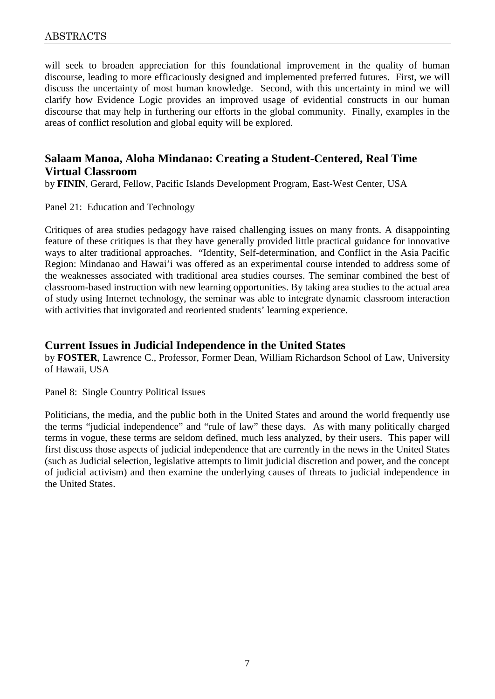will seek to broaden appreciation for this foundational improvement in the quality of human discourse, leading to more efficaciously designed and implemented preferred futures. First, we will discuss the uncertainty of most human knowledge. Second, with this uncertainty in mind we will clarify how Evidence Logic provides an improved usage of evidential constructs in our human discourse that may help in furthering our efforts in the global community. Finally, examples in the areas of conflict resolution and global equity will be explored.

# **Salaam Manoa, Aloha Mindanao: Creating a Student-Centered, Real Time Virtual Classroom**

by **FININ**, Gerard, Fellow, Pacific Islands Development Program, East-West Center, USA

Panel 21: Education and Technology

Critiques of area studies pedagogy have raised challenging issues on many fronts. A disappointing feature of these critiques is that they have generally provided little practical guidance for innovative ways to alter traditional approaches. "Identity, Self-determination, and Conflict in the Asia Pacific Region: Mindanao and Hawai'i was offered as an experimental course intended to address some of the weaknesses associated with traditional area studies courses. The seminar combined the best of classroom-based instruction with new learning opportunities. By taking area studies to the actual area of study using Internet technology, the seminar was able to integrate dynamic classroom interaction with activities that invigorated and reoriented students' learning experience.

### **Current Issues in Judicial Independence in the United States**

by **FOSTER**, Lawrence C., Professor, Former Dean, William Richardson School of Law, University of Hawaii, USA

#### Panel 8: Single Country Political Issues

Politicians, the media, and the public both in the United States and around the world frequently use the terms "judicial independence" and "rule of law" these days. As with many politically charged terms in vogue, these terms are seldom defined, much less analyzed, by their users. This paper will first discuss those aspects of judicial independence that are currently in the news in the United States (such as Judicial selection, legislative attempts to limit judicial discretion and power, and the concept of judicial activism) and then examine the underlying causes of threats to judicial independence in the United States.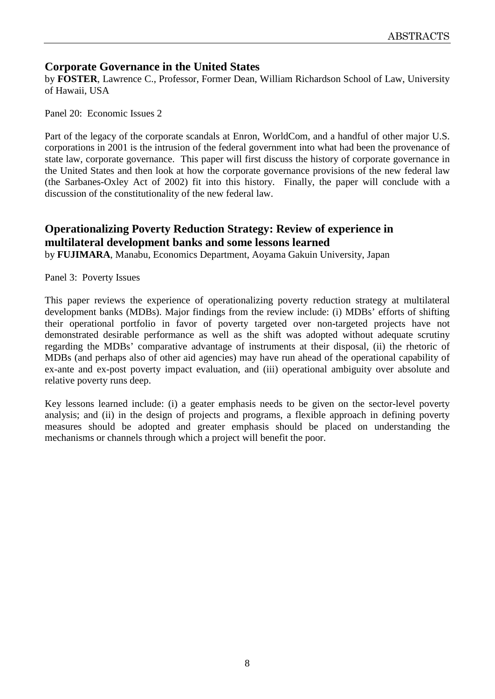# **Corporate Governance in the United States**

by **FOSTER**, Lawrence C., Professor, Former Dean, William Richardson School of Law, University of Hawaii, USA

Panel 20: Economic Issues 2

Part of the legacy of the corporate scandals at Enron, WorldCom, and a handful of other major U.S. corporations in 2001 is the intrusion of the federal government into what had been the provenance of state law, corporate governance. This paper will first discuss the history of corporate governance in the United States and then look at how the corporate governance provisions of the new federal law (the Sarbanes-Oxley Act of 2002) fit into this history. Finally, the paper will conclude with a discussion of the constitutionality of the new federal law.

# **Operationalizing Poverty Reduction Strategy: Review of experience in multilateral development banks and some lessons learned**

by **FUJIMARA**, Manabu, Economics Department, Aoyama Gakuin University, Japan

Panel 3: Poverty Issues

This paper reviews the experience of operationalizing poverty reduction strategy at multilateral development banks (MDBs). Major findings from the review include: (i) MDBs' efforts of shifting their operational portfolio in favor of poverty targeted over non-targeted projects have not demonstrated desirable performance as well as the shift was adopted without adequate scrutiny regarding the MDBs' comparative advantage of instruments at their disposal, (ii) the rhetoric of MDBs (and perhaps also of other aid agencies) may have run ahead of the operational capability of ex-ante and ex-post poverty impact evaluation, and (iii) operational ambiguity over absolute and relative poverty runs deep.

Key lessons learned include: (i) a geater emphasis needs to be given on the sector-level poverty analysis; and (ii) in the design of projects and programs, a flexible approach in defining poverty measures should be adopted and greater emphasis should be placed on understanding the mechanisms or channels through which a project will benefit the poor.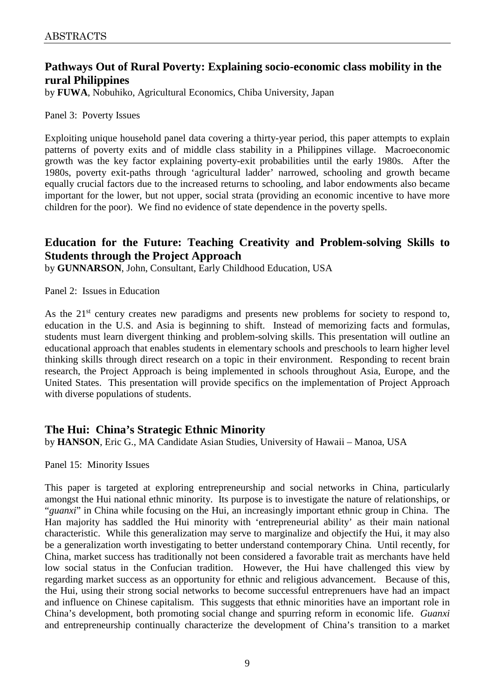# **Pathways Out of Rural Poverty: Explaining socio-economic class mobility in the rural Philippines**

by **FUWA**, Nobuhiko, Agricultural Economics, Chiba University, Japan

#### Panel 3: Poverty Issues

Exploiting unique household panel data covering a thirty-year period, this paper attempts to explain patterns of poverty exits and of middle class stability in a Philippines village. Macroeconomic growth was the key factor explaining poverty-exit probabilities until the early 1980s. After the 1980s, poverty exit-paths through 'agricultural ladder' narrowed, schooling and growth became equally crucial factors due to the increased returns to schooling, and labor endowments also became important for the lower, but not upper, social strata (providing an economic incentive to have more children for the poor). We find no evidence of state dependence in the poverty spells.

# **Education for the Future: Teaching Creativity and Problem-solving Skills to Students through the Project Approach**

by **GUNNARSON**, John, Consultant, Early Childhood Education, USA

Panel 2: Issues in Education

As the  $21<sup>st</sup>$  century creates new paradigms and presents new problems for society to respond to, education in the U.S. and Asia is beginning to shift. Instead of memorizing facts and formulas, students must learn divergent thinking and problem-solving skills. This presentation will outline an educational approach that enables students in elementary schools and preschools to learn higher level thinking skills through direct research on a topic in their environment. Responding to recent brain research, the Project Approach is being implemented in schools throughout Asia, Europe, and the United States. This presentation will provide specifics on the implementation of Project Approach with diverse populations of students.

# **The Hui: China's Strategic Ethnic Minority**

by **HANSON**, Eric G., MA Candidate Asian Studies, University of Hawaii – Manoa, USA

Panel 15: Minority Issues

This paper is targeted at exploring entrepreneurship and social networks in China, particularly amongst the Hui national ethnic minority. Its purpose is to investigate the nature of relationships, or "*guanxi*" in China while focusing on the Hui, an increasingly important ethnic group in China. The Han majority has saddled the Hui minority with 'entrepreneurial ability' as their main national characteristic. While this generalization may serve to marginalize and objectify the Hui, it may also be a generalization worth investigating to better understand contemporary China. Until recently, for China, market success has traditionally not been considered a favorable trait as merchants have held low social status in the Confucian tradition. However, the Hui have challenged this view by regarding market success as an opportunity for ethnic and religious advancement. Because of this, the Hui, using their strong social networks to become successful entreprenuers have had an impact and influence on Chinese capitalism. This suggests that ethnic minorities have an important role in China's development, both promoting social change and spurring reform in economic life. *Guanxi* and entrepreneurship continually characterize the development of China's transition to a market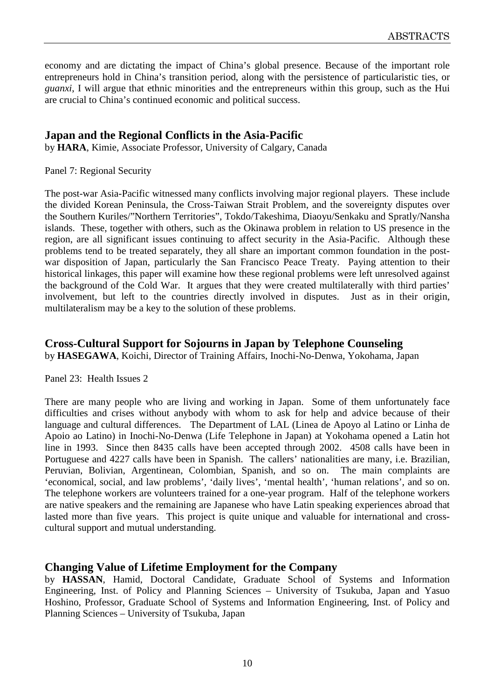economy and are dictating the impact of China's global presence. Because of the important role entrepreneurs hold in China's transition period, along with the persistence of particularistic ties, or *guanxi*, I will argue that ethnic minorities and the entrepreneurs within this group, such as the Hui are crucial to China's continued economic and political success.

### **Japan and the Regional Conflicts in the Asia-Pacific**

by **HARA**, Kimie, Associate Professor, University of Calgary, Canada

#### Panel 7: Regional Security

The post-war Asia-Pacific witnessed many conflicts involving major regional players. These include the divided Korean Peninsula, the Cross-Taiwan Strait Problem, and the sovereignty disputes over the Southern Kuriles/"Northern Territories", Tokdo/Takeshima, Diaoyu/Senkaku and Spratly/Nansha islands. These, together with others, such as the Okinawa problem in relation to US presence in the region, are all significant issues continuing to affect security in the Asia-Pacific. Although these problems tend to be treated separately, they all share an important common foundation in the postwar disposition of Japan, particularly the San Francisco Peace Treaty. Paying attention to their historical linkages, this paper will examine how these regional problems were left unresolved against the background of the Cold War. It argues that they were created multilaterally with third parties' involvement, but left to the countries directly involved in disputes. Just as in their origin, multilateralism may be a key to the solution of these problems.

#### **Cross-Cultural Support for Sojourns in Japan by Telephone Counseling**

by **HASEGAWA**, Koichi, Director of Training Affairs, Inochi-No-Denwa, Yokohama, Japan

#### Panel 23: Health Issues 2

There are many people who are living and working in Japan. Some of them unfortunately face difficulties and crises without anybody with whom to ask for help and advice because of their language and cultural differences. The Department of LAL (Linea de Apoyo al Latino or Linha de Apoio ao Latino) in Inochi-No-Denwa (Life Telephone in Japan) at Yokohama opened a Latin hot line in 1993. Since then 8435 calls have been accepted through 2002. 4508 calls have been in Portuguese and 4227 calls have been in Spanish. The callers' nationalities are many, i.e. Brazilian, Peruvian, Bolivian, Argentinean, Colombian, Spanish, and so on. The main complaints are 'economical, social, and law problems', 'daily lives', 'mental health', 'human relations', and so on. The telephone workers are volunteers trained for a one-year program. Half of the telephone workers are native speakers and the remaining are Japanese who have Latin speaking experiences abroad that lasted more than five years. This project is quite unique and valuable for international and crosscultural support and mutual understanding.

#### **Changing Value of Lifetime Employment for the Company**

by **HASSAN**, Hamid, Doctoral Candidate, Graduate School of Systems and Information Engineering, Inst. of Policy and Planning Sciences – University of Tsukuba, Japan and Yasuo Hoshino, Professor, Graduate School of Systems and Information Engineering, Inst. of Policy and Planning Sciences – University of Tsukuba, Japan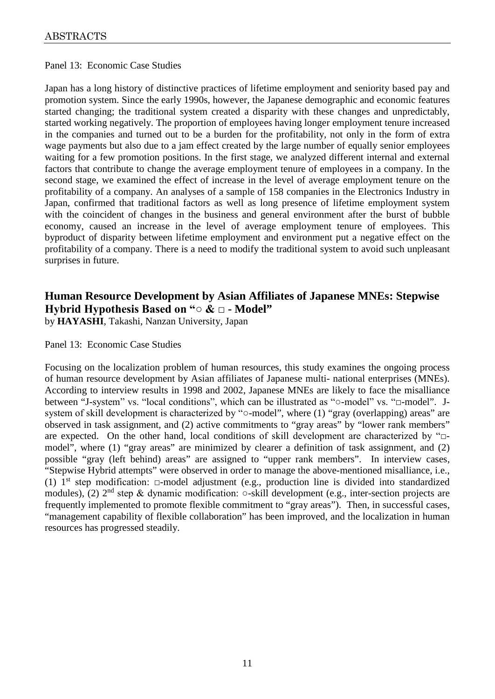#### Panel 13: Economic Case Studies

Japan has a long history of distinctive practices of lifetime employment and seniority based pay and promotion system. Since the early 1990s, however, the Japanese demographic and economic features started changing; the traditional system created a disparity with these changes and unpredictably, started working negatively. The proportion of employees having longer employment tenure increased in the companies and turned out to be a burden for the profitability, not only in the form of extra wage payments but also due to a jam effect created by the large number of equally senior employees waiting for a few promotion positions. In the first stage, we analyzed different internal and external factors that contribute to change the average employment tenure of employees in a company. In the second stage, we examined the effect of increase in the level of average employment tenure on the profitability of a company. An analyses of a sample of 158 companies in the Electronics Industry in Japan, confirmed that traditional factors as well as long presence of lifetime employment system with the coincident of changes in the business and general environment after the burst of bubble economy, caused an increase in the level of average employment tenure of employees. This byproduct of disparity between lifetime employment and environment put a negative effect on the profitability of a company. There is a need to modify the traditional system to avoid such unpleasant surprises in future.

# **Human Resource Development by Asian Affiliates of Japanese MNEs: Stepwise Hybrid Hypothesis Based on "○ & □ - Model"**

by **HAYASHI**, Takashi, Nanzan University, Japan

#### Panel 13: Economic Case Studies

Focusing on the localization problem of human resources, this study examines the ongoing process of human resource development by Asian affiliates of Japanese multi- national enterprises (MNEs). According to interview results in 1998 and 2002, Japanese MNEs are likely to face the misalliance between "J-system" vs. "local conditions", which can be illustrated as "o-model" vs. "□-model". Jsystem of skill development is characterized by " $\circ$ -model", where (1) "gray (overlapping) areas" are observed in task assignment, and (2) active commitments to "gray areas" by "lower rank members" are expected. On the other hand, local conditions of skill development are characterized by "□ model", where (1) "gray areas" are minimized by clearer a definition of task assignment, and (2) possible "gray (left behind) areas" are assigned to "upper rank members". In interview cases, "Stepwise Hybrid attempts" were observed in order to manage the above-mentioned misalliance, i.e., (1) 1st step modification: □-model adjustment (e.g., production line is divided into standardized modules), (2) 2nd step & dynamic modification: ○-skill development (e.g., inter-section projects are frequently implemented to promote flexible commitment to "gray areas"). Then, in successful cases, "management capability of flexible collaboration" has been improved, and the localization in human resources has progressed steadily.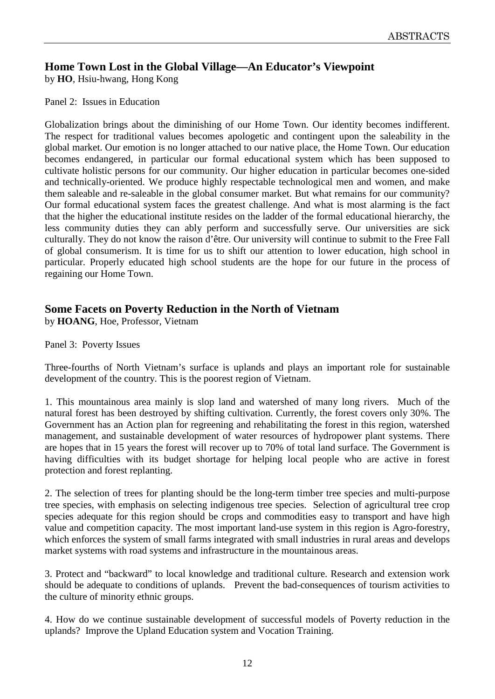# **Home Town Lost in the Global Village—An Educator's Viewpoint**

by **HO**, Hsiu-hwang, Hong Kong

Panel 2: Issues in Education

Globalization brings about the diminishing of our Home Town. Our identity becomes indifferent. The respect for traditional values becomes apologetic and contingent upon the saleability in the global market. Our emotion is no longer attached to our native place, the Home Town. Our education becomes endangered, in particular our formal educational system which has been supposed to cultivate holistic persons for our community. Our higher education in particular becomes one-sided and technically-oriented. We produce highly respectable technological men and women, and make them saleable and re-saleable in the global consumer market. But what remains for our community? Our formal educational system faces the greatest challenge. And what is most alarming is the fact that the higher the educational institute resides on the ladder of the formal educational hierarchy, the less community duties they can ably perform and successfully serve. Our universities are sick culturally. They do not know the raison d'être. Our university will continue to submit to the Free Fall of global consumerism. It is time for us to shift our attention to lower education, high school in particular. Properly educated high school students are the hope for our future in the process of regaining our Home Town.

# **Some Facets on Poverty Reduction in the North of Vietnam**

by **HOANG**, Hoe, Professor, Vietnam

Panel 3: Poverty Issues

Three-fourths of North Vietnam's surface is uplands and plays an important role for sustainable development of the country. This is the poorest region of Vietnam.

1. This mountainous area mainly is slop land and watershed of many long rivers. Much of the natural forest has been destroyed by shifting cultivation. Currently, the forest covers only 30%. The Government has an Action plan for regreening and rehabilitating the forest in this region, watershed management, and sustainable development of water resources of hydropower plant systems. There are hopes that in 15 years the forest will recover up to 70% of total land surface. The Government is having difficulties with its budget shortage for helping local people who are active in forest protection and forest replanting.

2. The selection of trees for planting should be the long-term timber tree species and multi-purpose tree species, with emphasis on selecting indigenous tree species. Selection of agricultural tree crop species adequate for this region should be crops and commodities easy to transport and have high value and competition capacity. The most important land-use system in this region is Agro-forestry, which enforces the system of small farms integrated with small industries in rural areas and develops market systems with road systems and infrastructure in the mountainous areas.

3. Protect and "backward" to local knowledge and traditional culture. Research and extension work should be adequate to conditions of uplands. Prevent the bad-consequences of tourism activities to the culture of minority ethnic groups.

4. How do we continue sustainable development of successful models of Poverty reduction in the uplands? Improve the Upland Education system and Vocation Training.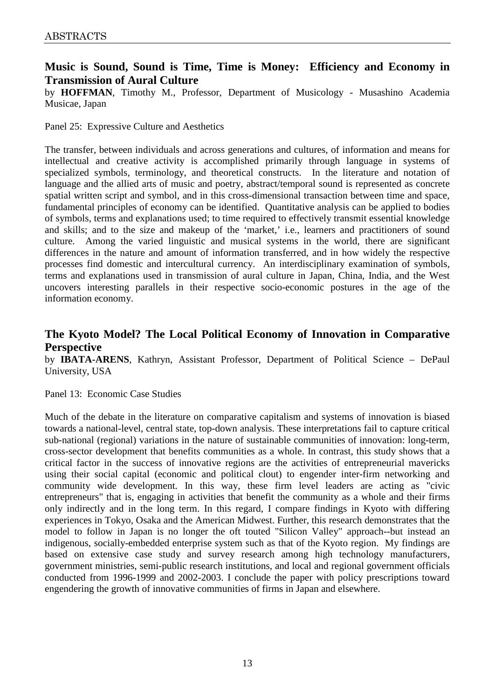# **Music is Sound, Sound is Time, Time is Money: Efficiency and Economy in Transmission of Aural Culture**

by **HOFFMAN**, Timothy M., Professor, Department of Musicology - Musashino Academia Musicae, Japan

Panel 25: Expressive Culture and Aesthetics

The transfer, between individuals and across generations and cultures, of information and means for intellectual and creative activity is accomplished primarily through language in systems of specialized symbols, terminology, and theoretical constructs. In the literature and notation of language and the allied arts of music and poetry, abstract/temporal sound is represented as concrete spatial written script and symbol, and in this cross-dimensional transaction between time and space, fundamental principles of economy can be identified. Quantitative analysis can be applied to bodies of symbols, terms and explanations used; to time required to effectively transmit essential knowledge and skills; and to the size and makeup of the 'market,' i.e., learners and practitioners of sound culture. Among the varied linguistic and musical systems in the world, there are significant differences in the nature and amount of information transferred, and in how widely the respective processes find domestic and intercultural currency. An interdisciplinary examination of symbols, terms and explanations used in transmission of aural culture in Japan, China, India, and the West uncovers interesting parallels in their respective socio-economic postures in the age of the information economy.

# **The Kyoto Model? The Local Political Economy of Innovation in Comparative Perspective**

by **IBATA-ARENS**, Kathryn, Assistant Professor, Department of Political Science – DePaul University, USA

#### Panel 13: Economic Case Studies

Much of the debate in the literature on comparative capitalism and systems of innovation is biased towards a national-level, central state, top-down analysis. These interpretations fail to capture critical sub-national (regional) variations in the nature of sustainable communities of innovation: long-term, cross-sector development that benefits communities as a whole. In contrast, this study shows that a critical factor in the success of innovative regions are the activities of entrepreneurial mavericks using their social capital (economic and political clout) to engender inter-firm networking and community wide development. In this way, these firm level leaders are acting as "civic entrepreneurs" that is, engaging in activities that benefit the community as a whole and their firms only indirectly and in the long term. In this regard, I compare findings in Kyoto with differing experiences in Tokyo, Osaka and the American Midwest. Further, this research demonstrates that the model to follow in Japan is no longer the oft touted "Silicon Valley" approach--but instead an indigenous, socially-embedded enterprise system such as that of the Kyoto region.My findings are based on extensive case study and survey research among high technology manufacturers, government ministries, semi-public research institutions, and local and regional government officials conducted from 1996-1999 and 2002-2003. I conclude the paper with policy prescriptions toward engendering the growth of innovative communities of firms in Japan and elsewhere.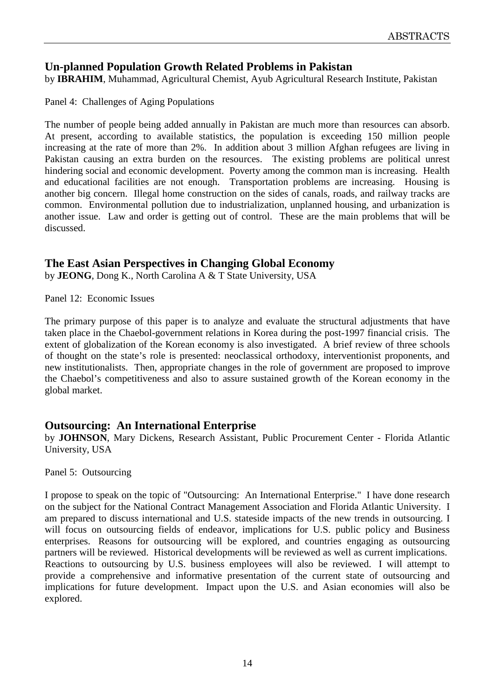# **Un-planned Population Growth Related Problems in Pakistan**

by **IBRAHIM**, Muhammad, Agricultural Chemist, Ayub Agricultural Research Institute, Pakistan

Panel 4: Challenges of Aging Populations

The number of people being added annually in Pakistan are much more than resources can absorb. At present, according to available statistics, the population is exceeding 150 million people increasing at the rate of more than 2%. In addition about 3 million Afghan refugees are living in Pakistan causing an extra burden on the resources. The existing problems are political unrest hindering social and economic development. Poverty among the common man is increasing. Health and educational facilities are not enough. Transportation problems are increasing. Housing is another big concern. Illegal home construction on the sides of canals, roads, and railway tracks are common. Environmental pollution due to industrialization, unplanned housing, and urbanization is another issue. Law and order is getting out of control. These are the main problems that will be discussed.

# **The East Asian Perspectives in Changing Global Economy**

by **JEONG**, Dong K., North Carolina A & T State University, USA

Panel 12: Economic Issues

The primary purpose of this paper is to analyze and evaluate the structural adjustments that have taken place in the Chaebol-government relations in Korea during the post-1997 financial crisis. The extent of globalization of the Korean economy is also investigated. A brief review of three schools of thought on the state's role is presented: neoclassical orthodoxy, interventionist proponents, and new institutionalists. Then, appropriate changes in the role of government are proposed to improve the Chaebol's competitiveness and also to assure sustained growth of the Korean economy in the global market.

# **Outsourcing: An International Enterprise**

by **JOHNSON**, Mary Dickens, Research Assistant, Public Procurement Center - Florida Atlantic University, USA

Panel 5: Outsourcing

I propose to speak on the topic of "Outsourcing: An International Enterprise." I have done research on the subject for the National Contract Management Association and Florida Atlantic University. I am prepared to discuss international and U.S. stateside impacts of the new trends in outsourcing. I will focus on outsourcing fields of endeavor, implications for U.S. public policy and Business enterprises. Reasons for outsourcing will be explored, and countries engaging as outsourcing partners will be reviewed. Historical developments will be reviewed as well as current implications. Reactions to outsourcing by U.S. business employees will also be reviewed. I will attempt to provide a comprehensive and informative presentation of the current state of outsourcing and implications for future development. Impact upon the U.S. and Asian economies will also be explored.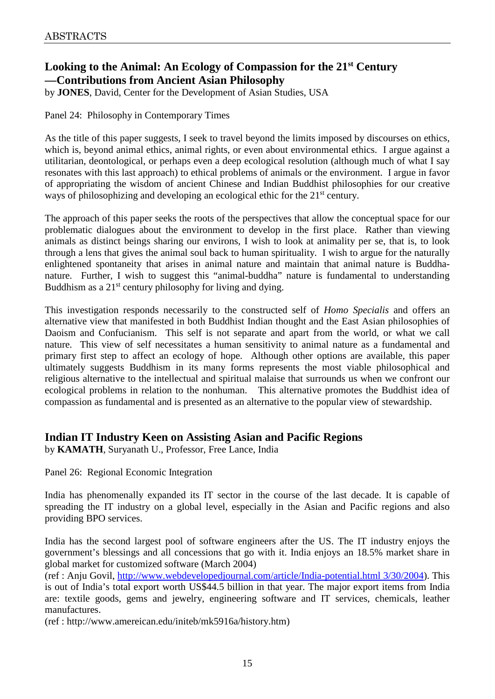# **Looking to the Animal: An Ecology of Compassion for the 21st Century —Contributions from Ancient Asian Philosophy**

by **JONES**, David, Center for the Development of Asian Studies, USA

Panel 24: Philosophy in Contemporary Times

As the title of this paper suggests, I seek to travel beyond the limits imposed by discourses on ethics, which is, beyond animal ethics, animal rights, or even about environmental ethics. I argue against a utilitarian, deontological, or perhaps even a deep ecological resolution (although much of what I say resonates with this last approach) to ethical problems of animals or the environment. I argue in favor of appropriating the wisdom of ancient Chinese and Indian Buddhist philosophies for our creative ways of philosophizing and developing an ecological ethic for the 21<sup>st</sup> century.

The approach of this paper seeks the roots of the perspectives that allow the conceptual space for our problematic dialogues about the environment to develop in the first place. Rather than viewing animals as distinct beings sharing our environs, I wish to look at animality per se, that is, to look through a lens that gives the animal soul back to human spirituality. I wish to argue for the naturally enlightened spontaneity that arises in animal nature and maintain that animal nature is Buddhanature. Further, I wish to suggest this "animal-buddha" nature is fundamental to understanding Buddhism as a  $21<sup>st</sup>$  century philosophy for living and dying.

This investigation responds necessarily to the constructed self of *Homo Specialis* and offers an alternative view that manifested in both Buddhist Indian thought and the East Asian philosophies of Daoism and Confucianism. This self is not separate and apart from the world, or what we call nature. This view of self necessitates a human sensitivity to animal nature as a fundamental and primary first step to affect an ecology of hope. Although other options are available, this paper ultimately suggests Buddhism in its many forms represents the most viable philosophical and religious alternative to the intellectual and spiritual malaise that surrounds us when we confront our ecological problems in relation to the nonhuman. This alternative promotes the Buddhist idea of compassion as fundamental and is presented as an alternative to the popular view of stewardship.

#### **Indian IT Industry Keen on Assisting Asian and Pacific Regions**

by **KAMATH**, Suryanath U., Professor, Free Lance, India

Panel 26: Regional Economic Integration

India has phenomenally expanded its IT sector in the course of the last decade. It is capable of spreading the IT industry on a global level, especially in the Asian and Pacific regions and also providing BPO services.

India has the second largest pool of software engineers after the US. The IT industry enjoys the government's blessings and all concessions that go with it. India enjoys an 18.5% market share in global market for customized software (March 2004)

(ref : Anju Govil, [http://www.webdevelopedjournal.com/article/India-potential.html 3/30/2004\)](http://www.webdevelopedjournal.com/article/India-potential.html%203/30/2004). This is out of India's total export worth US\$44.5 billion in that year. The major export items from India are: textile goods, gems and jewelry, engineering software and IT services, chemicals, leather manufactures.

(ref : http://www.amereican.edu/initeb/mk5916a/history.htm)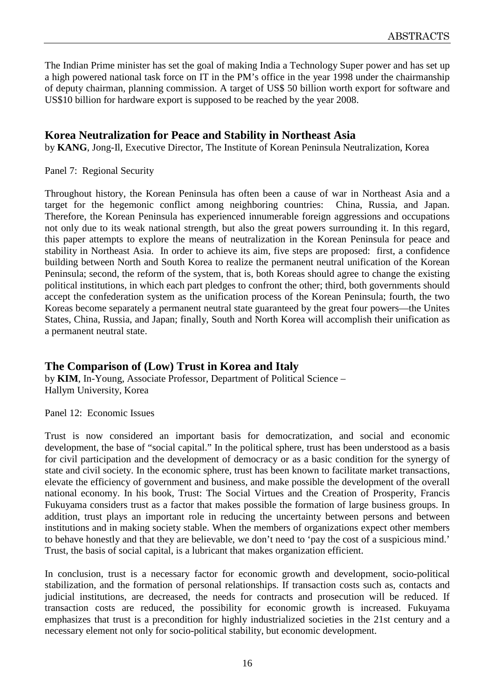The Indian Prime minister has set the goal of making India a Technology Super power and has set up a high powered national task force on IT in the PM's office in the year 1998 under the chairmanship of deputy chairman, planning commission. A target of US\$ 50 billion worth export for software and US\$10 billion for hardware export is supposed to be reached by the year 2008.

# **Korea Neutralization for Peace and Stability in Northeast Asia**

by **KANG**, Jong-Il, Executive Director, The Institute of Korean Peninsula Neutralization, Korea

#### Panel 7: Regional Security

Throughout history, the Korean Peninsula has often been a cause of war in Northeast Asia and a target for the hegemonic conflict among neighboring countries: China, Russia, and Japan. Therefore, the Korean Peninsula has experienced innumerable foreign aggressions and occupations not only due to its weak national strength, but also the great powers surrounding it. In this regard, this paper attempts to explore the means of neutralization in the Korean Peninsula for peace and stability in Northeast Asia. In order to achieve its aim, five steps are proposed: first, a confidence building between North and South Korea to realize the permanent neutral unification of the Korean Peninsula; second, the reform of the system, that is, both Koreas should agree to change the existing political institutions, in which each part pledges to confront the other; third, both governments should accept the confederation system as the unification process of the Korean Peninsula; fourth, the two Koreas become separately a permanent neutral state guaranteed by the great four powers—the Unites States, China, Russia, and Japan; finally, South and North Korea will accomplish their unification as a permanent neutral state.

# **The Comparison of (Low) Trust in Korea and Italy**

by **KIM**, In-Young, Associate Professor, Department of Political Science – Hallym University, Korea

Panel 12: Economic Issues

Trust is now considered an important basis for democratization, and social and economic development, the base of "social capital." In the political sphere, trust has been understood as a basis for civil participation and the development of democracy or as a basic condition for the synergy of state and civil society. In the economic sphere, trust has been known to facilitate market transactions, elevate the efficiency of government and business, and make possible the development of the overall national economy. In his book, Trust: The Social Virtues and the Creation of Prosperity, Francis Fukuyama considers trust as a factor that makes possible the formation of large business groups. In addition, trust plays an important role in reducing the uncertainty between persons and between institutions and in making society stable. When the members of organizations expect other members to behave honestly and that they are believable, we don't need to 'pay the cost of a suspicious mind.' Trust, the basis of social capital, is a lubricant that makes organization efficient.

In conclusion, trust is a necessary factor for economic growth and development, socio-political stabilization, and the formation of personal relationships. If transaction costs such as, contacts and judicial institutions, are decreased, the needs for contracts and prosecution will be reduced. If transaction costs are reduced, the possibility for economic growth is increased. Fukuyama emphasizes that trust is a precondition for highly industrialized societies in the 21st century and a necessary element not only for socio-political stability, but economic development.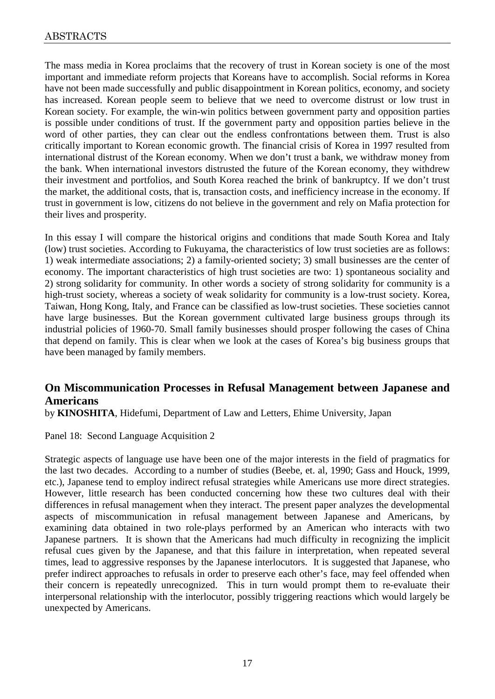The mass media in Korea proclaims that the recovery of trust in Korean society is one of the most important and immediate reform projects that Koreans have to accomplish. Social reforms in Korea have not been made successfully and public disappointment in Korean politics, economy, and society has increased. Korean people seem to believe that we need to overcome distrust or low trust in Korean society. For example, the win-win politics between government party and opposition parties is possible under conditions of trust. If the government party and opposition parties believe in the word of other parties, they can clear out the endless confrontations between them. Trust is also critically important to Korean economic growth. The financial crisis of Korea in 1997 resulted from international distrust of the Korean economy. When we don't trust a bank, we withdraw money from the bank. When international investors distrusted the future of the Korean economy, they withdrew their investment and portfolios, and South Korea reached the brink of bankruptcy. If we don't trust the market, the additional costs, that is, transaction costs, and inefficiency increase in the economy. If trust in government is low, citizens do not believe in the government and rely on Mafia protection for their lives and prosperity.

In this essay I will compare the historical origins and conditions that made South Korea and Italy (low) trust societies. According to Fukuyama, the characteristics of low trust societies are as follows: 1) weak intermediate associations; 2) a family-oriented society; 3) small businesses are the center of economy. The important characteristics of high trust societies are two: 1) spontaneous sociality and 2) strong solidarity for community. In other words a society of strong solidarity for community is a high-trust society, whereas a society of weak solidarity for community is a low-trust society. Korea, Taiwan, Hong Kong, Italy, and France can be classified as low-trust societies. These societies cannot have large businesses. But the Korean government cultivated large business groups through its industrial policies of 1960-70. Small family businesses should prosper following the cases of China that depend on family. This is clear when we look at the cases of Korea's big business groups that have been managed by family members.

# **On Miscommunication Processes in Refusal Management between Japanese and Americans**

by **KINOSHITA**, Hidefumi, Department of Law and Letters, Ehime University, Japan

Panel 18: Second Language Acquisition 2

Strategic aspects of language use have been one of the major interests in the field of pragmatics for the last two decades. According to a number of studies (Beebe, et. al, 1990; Gass and Houck, 1999, etc.), Japanese tend to employ indirect refusal strategies while Americans use more direct strategies. However, little research has been conducted concerning how these two cultures deal with their differences in refusal management when they interact. The present paper analyzes the developmental aspects of miscommunication in refusal management between Japanese and Americans, by examining data obtained in two role-plays performed by an American who interacts with two Japanese partners. It is shown that the Americans had much difficulty in recognizing the implicit refusal cues given by the Japanese, and that this failure in interpretation, when repeated several times, lead to aggressive responses by the Japanese interlocutors. It is suggested that Japanese, who prefer indirect approaches to refusals in order to preserve each other's face, may feel offended when their concern is repeatedly unrecognized. This in turn would prompt them to re-evaluate their interpersonal relationship with the interlocutor, possibly triggering reactions which would largely be unexpected by Americans.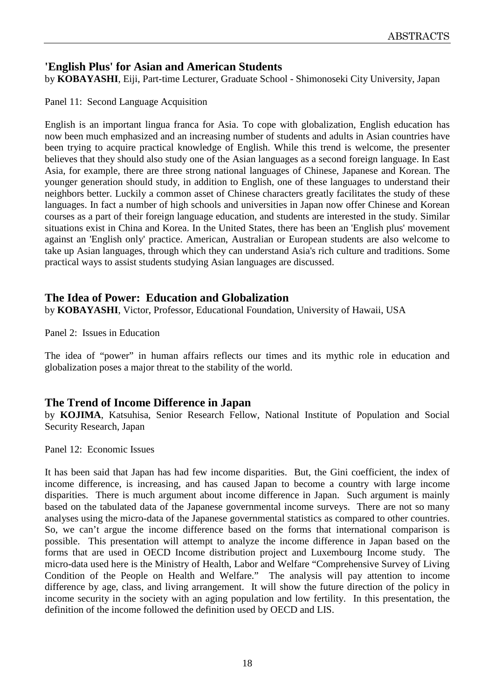# **'English Plus' for Asian and American Students**

by **KOBAYASHI**, Eiji, Part-time Lecturer, Graduate School - Shimonoseki City University, Japan

Panel 11: Second Language Acquisition

English is an important lingua franca for Asia. To cope with globalization, English education has now been much emphasized and an increasing number of students and adults in Asian countries have been trying to acquire practical knowledge of English. While this trend is welcome, the presenter believes that they should also study one of the Asian languages as a second foreign language. In East Asia, for example, there are three strong national languages of Chinese, Japanese and Korean. The younger generation should study, in addition to English, one of these languages to understand their neighbors better. Luckily a common asset of Chinese characters greatly facilitates the study of these languages. In fact a number of high schools and universities in Japan now offer Chinese and Korean courses as a part of their foreign language education, and students are interested in the study. Similar situations exist in China and Korea. In the United States, there has been an 'English plus' movement against an 'English only' practice. American, Australian or European students are also welcome to take up Asian languages, through which they can understand Asia's rich culture and traditions. Some practical ways to assist students studying Asian languages are discussed.

# **The Idea of Power: Education and Globalization**

by **KOBAYASHI**, Victor, Professor, Educational Foundation, University of Hawaii, USA

Panel 2: Issues in Education

The idea of "power" in human affairs reflects our times and its mythic role in education and globalization poses a major threat to the stability of the world.

# **The Trend of Income Difference in Japan**

by **KOJIMA**, Katsuhisa, Senior Research Fellow, National Institute of Population and Social Security Research, Japan

Panel 12: Economic Issues

It has been said that Japan has had few income disparities. But, the Gini coefficient, the index of income difference, is increasing, and has caused Japan to become a country with large income disparities. There is much argument about income difference in Japan. Such argument is mainly based on the tabulated data of the Japanese governmental income surveys. There are not so many analyses using the micro-data of the Japanese governmental statistics as compared to other countries. So, we can't argue the income difference based on the forms that international comparison is possible. This presentation will attempt to analyze the income difference in Japan based on the forms that are used in OECD Income distribution project and Luxembourg Income study. The micro-data used here is the Ministry of Health, Labor and Welfare "Comprehensive Survey of Living Condition of the People on Health and Welfare." The analysis will pay attention to income difference by age, class, and living arrangement. It will show the future direction of the policy in income security in the society with an aging population and low fertility. In this presentation, the definition of the income followed the definition used by OECD and LIS.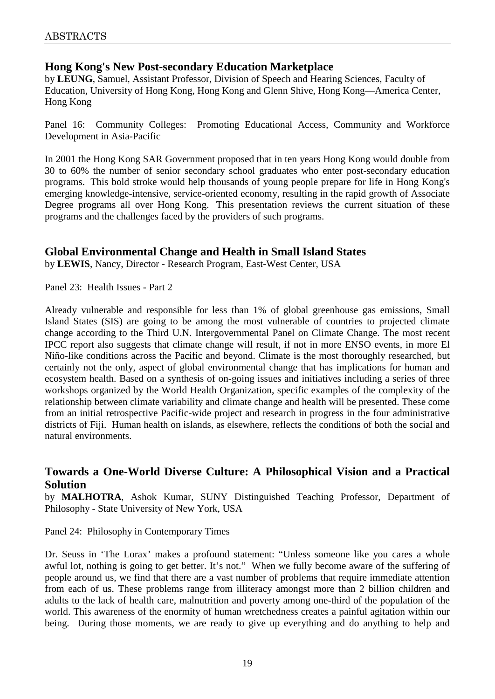# **Hong Kong's New Post-secondary Education Marketplace**

by **LEUNG**, Samuel, Assistant Professor, Division of Speech and Hearing Sciences, Faculty of Education, University of Hong Kong, Hong Kong and Glenn Shive, Hong Kong—America Center, Hong Kong

Panel 16: Community Colleges: Promoting Educational Access, Community and Workforce Development in Asia-Pacific

In 2001 the Hong Kong SAR Government proposed that in ten years Hong Kong would double from 30 to 60% the number of senior secondary school graduates who enter post-secondary education programs. This bold stroke would help thousands of young people prepare for life in Hong Kong's emerging knowledge-intensive, service-oriented economy, resulting in the rapid growth of Associate Degree programs all over Hong Kong. This presentation reviews the current situation of these programs and the challenges faced by the providers of such programs.

# **Global Environmental Change and Health in Small Island States**

by **LEWIS**, Nancy, Director - Research Program, East-West Center, USA

Panel 23: Health Issues - Part 2

Already vulnerable and responsible for less than 1% of global greenhouse gas emissions, Small Island States (SIS) are going to be among the most vulnerable of countries to projected climate change according to the Third U.N. Intergovernmental Panel on Climate Change. The most recent IPCC report also suggests that climate change will result, if not in more ENSO events, in more El Niño-like conditions across the Pacific and beyond. Climate is the most thoroughly researched, but certainly not the only, aspect of global environmental change that has implications for human and ecosystem health. Based on a synthesis of on-going issues and initiatives including a series of three workshops organized by the World Health Organization, specific examples of the complexity of the relationship between climate variability and climate change and health will be presented. These come from an initial retrospective Pacific-wide project and research in progress in the four administrative districts of Fiji. Human health on islands, as elsewhere, reflects the conditions of both the social and natural environments.

# **Towards a One-World Diverse Culture: A Philosophical Vision and a Practical Solution**

by **MALHOTRA**, Ashok Kumar, SUNY Distinguished Teaching Professor, Department of Philosophy - State University of New York, USA

#### Panel 24: Philosophy in Contemporary Times

Dr. Seuss in 'The Lorax' makes a profound statement: "Unless someone like you cares a whole awful lot, nothing is going to get better. It's not." When we fully become aware of the suffering of people around us, we find that there are a vast number of problems that require immediate attention from each of us. These problems range from illiteracy amongst more than 2 billion children and adults to the lack of health care, malnutrition and poverty among one-third of the population of the world. This awareness of the enormity of human wretchedness creates a painful agitation within our being. During those moments, we are ready to give up everything and do anything to help and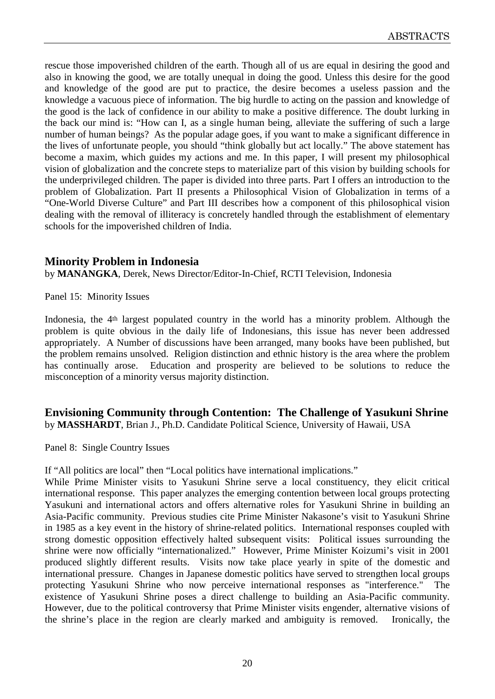rescue those impoverished children of the earth. Though all of us are equal in desiring the good and also in knowing the good, we are totally unequal in doing the good. Unless this desire for the good and knowledge of the good are put to practice, the desire becomes a useless passion and the knowledge a vacuous piece of information. The big hurdle to acting on the passion and knowledge of the good is the lack of confidence in our ability to make a positive difference. The doubt lurking in the back our mind is: "How can I, as a single human being, alleviate the suffering of such a large number of human beings? As the popular adage goes, if you want to make a significant difference in the lives of unfortunate people, you should "think globally but act locally." The above statement has become a maxim, which guides my actions and me. In this paper, I will present my philosophical vision of globalization and the concrete steps to materialize part of this vision by building schools for the underprivileged children. The paper is divided into three parts. Part I offers an introduction to the problem of Globalization. Part II presents a Philosophical Vision of Globalization in terms of a "One-World Diverse Culture" and Part III describes how a component of this philosophical vision dealing with the removal of illiteracy is concretely handled through the establishment of elementary schools for the impoverished children of India.

# **Minority Problem in Indonesia**

by **MANANGKA**, Derek, News Director/Editor-In-Chief, RCTI Television, Indonesia

Panel 15: Minority Issues

Indonesia, the 4th largest populated country in the world has a minority problem. Although the problem is quite obvious in the daily life of Indonesians, this issue has never been addressed appropriately. A Number of discussions have been arranged, many books have been published, but the problem remains unsolved. Religion distinction and ethnic history is the area where the problem has continually arose. Education and prosperity are believed to be solutions to reduce the misconception of a minority versus majority distinction.

**Envisioning Community through Contention: The Challenge of Yasukuni Shrine** by **MASSHARDT**, Brian J., Ph.D. Candidate Political Science, University of Hawaii, USA

Panel 8: Single Country Issues

If "All politics are local" then "Local politics have international implications."

While Prime Minister visits to Yasukuni Shrine serve a local constituency, they elicit critical international response. This paper analyzes the emerging contention between local groups protecting Yasukuni and international actors and offers alternative roles for Yasukuni Shrine in building an Asia-Pacific community. Previous studies cite Prime Minister Nakasone's visit to Yasukuni Shrine in 1985 as a key event in the history of shrine-related politics. International responses coupled with strong domestic opposition effectively halted subsequent visits: Political issues surrounding the shrine were now officially "internationalized." However, Prime Minister Koizumi's visit in 2001 produced slightly different results. Visits now take place yearly in spite of the domestic and international pressure. Changes in Japanese domestic politics have served to strengthen local groups protecting Yasukuni Shrine who now perceive international responses as "interference." The existence of Yasukuni Shrine poses a direct challenge to building an Asia-Pacific community. However, due to the political controversy that Prime Minister visits engender, alternative visions of the shrine's place in the region are clearly marked and ambiguity is removed. Ironically, the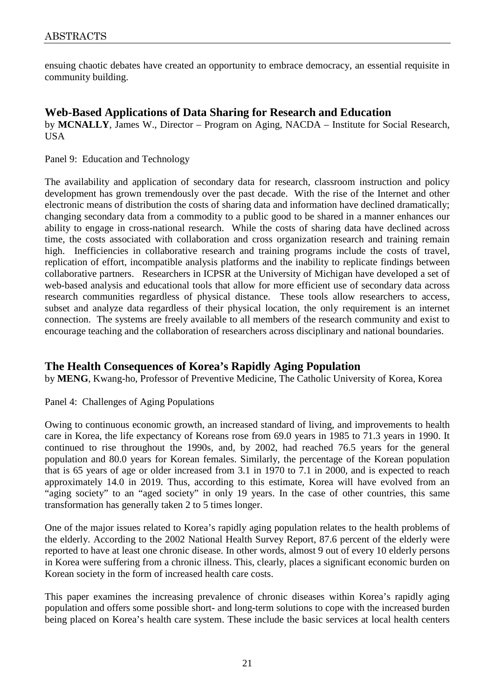ensuing chaotic debates have created an opportunity to embrace democracy, an essential requisite in community building.

# **Web-Based Applications of Data Sharing for Research and Education**

by **MCNALLY**, James W., Director – Program on Aging, NACDA – Institute for Social Research, USA

Panel 9: Education and Technology

The availability and application of secondary data for research, classroom instruction and policy development has grown tremendously over the past decade. With the rise of the Internet and other electronic means of distribution the costs of sharing data and information have declined dramatically; changing secondary data from a commodity to a public good to be shared in a manner enhances our ability to engage in cross-national research. While the costs of sharing data have declined across time, the costs associated with collaboration and cross organization research and training remain high. Inefficiencies in collaborative research and training programs include the costs of travel, replication of effort, incompatible analysis platforms and the inability to replicate findings between collaborative partners. Researchers in ICPSR at the University of Michigan have developed a set of web-based analysis and educational tools that allow for more efficient use of secondary data across research communities regardless of physical distance. These tools allow researchers to access, subset and analyze data regardless of their physical location, the only requirement is an internet connection. The systems are freely available to all members of the research community and exist to encourage teaching and the collaboration of researchers across disciplinary and national boundaries.

# **The Health Consequences of Korea's Rapidly Aging Population**

by **MENG**, Kwang-ho, Professor of Preventive Medicine, The Catholic University of Korea, Korea

Panel 4: Challenges of Aging Populations

Owing to continuous economic growth, an increased standard of living, and improvements to health care in Korea, the life expectancy of Koreans rose from 69.0 years in 1985 to 71.3 years in 1990. It continued to rise throughout the 1990s, and, by 2002, had reached 76.5 years for the general population and 80.0 years for Korean females. Similarly, the percentage of the Korean population that is 65 years of age or older increased from 3.1 in 1970 to 7.1 in 2000, and is expected to reach approximately 14.0 in 2019. Thus, according to this estimate, Korea will have evolved from an "aging society" to an "aged society" in only 19 years. In the case of other countries, this same transformation has generally taken 2 to 5 times longer.

One of the major issues related to Korea's rapidly aging population relates to the health problems of the elderly. According to the 2002 National Health Survey Report, 87.6 percent of the elderly were reported to have at least one chronic disease. In other words, almost 9 out of every 10 elderly persons in Korea were suffering from a chronic illness. This, clearly, places a significant economic burden on Korean society in the form of increased health care costs.

This paper examines the increasing prevalence of chronic diseases within Korea's rapidly aging population and offers some possible short- and long-term solutions to cope with the increased burden being placed on Korea's health care system. These include the basic services at local health centers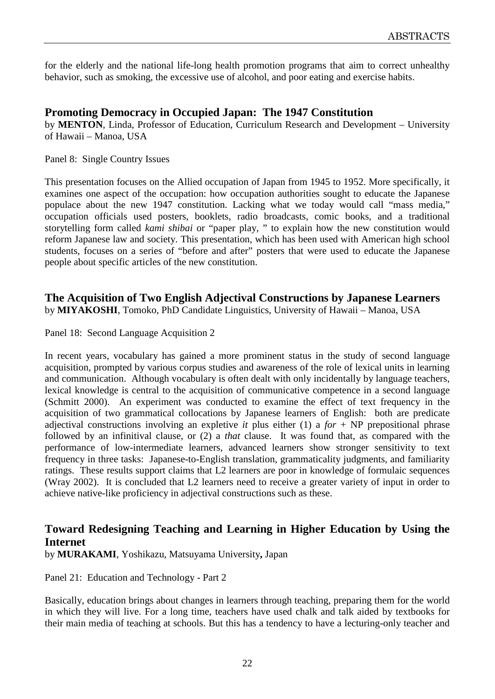for the elderly and the national life-long health promotion programs that aim to correct unhealthy behavior, such as smoking, the excessive use of alcohol, and poor eating and exercise habits.

# **Promoting Democracy in Occupied Japan: The 1947 Constitution**

by **MENTON**, Linda, Professor of Education, Curriculum Research and Development – University of Hawaii – Manoa, USA

Panel 8: Single Country Issues

This presentation focuses on the Allied occupation of Japan from 1945 to 1952. More specifically, it examines one aspect of the occupation: how occupation authorities sought to educate the Japanese populace about the new 1947 constitution. Lacking what we today would call "mass media," occupation officials used posters, booklets, radio broadcasts, comic books, and a traditional storytelling form called *kami shibai* or "paper play, " to explain how the new constitution would reform Japanese law and society. This presentation, which has been used with American high school students, focuses on a series of "before and after" posters that were used to educate the Japanese people about specific articles of the new constitution.

#### **The Acquisition of Two English Adjectival Constructions by Japanese Learners** by **MIYAKOSHI**, Tomoko, PhD Candidate Linguistics, University of Hawaii – Manoa, USA

Panel 18: Second Language Acquisition 2

In recent years, vocabulary has gained a more prominent status in the study of second language acquisition, prompted by various corpus studies and awareness of the role of lexical units in learning and communication. Although vocabulary is often dealt with only incidentally by language teachers, lexical knowledge is central to the acquisition of communicative competence in a second language (Schmitt 2000). An experiment was conducted to examine the effect of text frequency in the acquisition of two grammatical collocations by Japanese learners of English: both are predicate adjectival constructions involving an expletive *it* plus either (1) a *for* + NP prepositional phrase followed by an infinitival clause, or (2) a *that* clause. It was found that, as compared with the performance of low-intermediate learners, advanced learners show stronger sensitivity to text frequency in three tasks: Japanese-to-English translation, grammaticality judgments, and familiarity ratings. These results support claims that L2 learners are poor in knowledge of formulaic sequences (Wray 2002). It is concluded that L2 learners need to receive a greater variety of input in order to achieve native-like proficiency in adjectival constructions such as these.

# **Toward Redesigning Teaching and Learning in Higher Education by Using the Internet**

by **MURAKAMI**, Yoshikazu, Matsuyama University**,** Japan

Panel 21: Education and Technology - Part 2

Basically, education brings about changes in learners through teaching, preparing them for the world in which they will live. For a long time, teachers have used chalk and talk aided by textbooks for their main media of teaching at schools. But this has a tendency to have a lecturing-only teacher and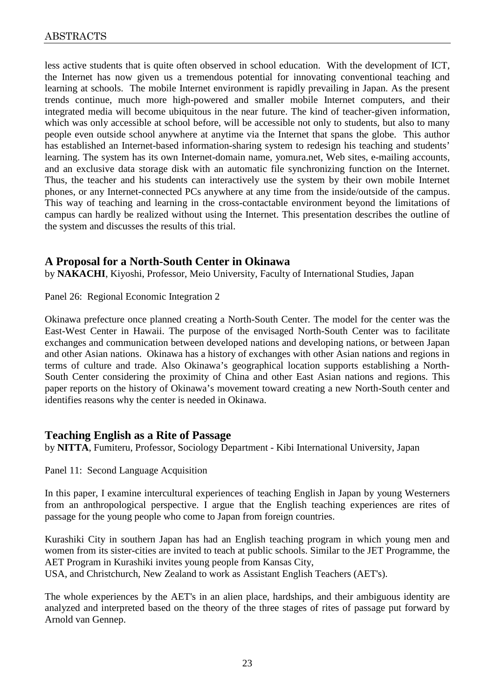less active students that is quite often observed in school education. With the development of ICT, the Internet has now given us a tremendous potential for innovating conventional teaching and learning at schools. The mobile Internet environment is rapidly prevailing in Japan. As the present trends continue, much more high-powered and smaller mobile Internet computers, and their integrated media will become ubiquitous in the near future. The kind of teacher-given information, which was only accessible at school before, will be accessible not only to students, but also to many people even outside school anywhere at anytime via the Internet that spans the globe. This author has established an Internet-based information-sharing system to redesign his teaching and students' learning. The system has its own Internet-domain name, yomura.net, Web sites, e-mailing accounts, and an exclusive data storage disk with an automatic file synchronizing function on the Internet. Thus, the teacher and his students can interactively use the system by their own mobile Internet phones, or any Internet-connected PCs anywhere at any time from the inside/outside of the campus. This way of teaching and learning in the cross-contactable environment beyond the limitations of campus can hardly be realized without using the Internet. This presentation describes the outline of the system and discusses the results of this trial.

# **A Proposal for a North-South Center in Okinawa**

by **NAKACHI**, Kiyoshi, Professor, Meio University, Faculty of International Studies, Japan

Panel 26: Regional Economic Integration 2

Okinawa prefecture once planned creating a North-South Center. The model for the center was the East-West Center in Hawaii. The purpose of the envisaged North-South Center was to facilitate exchanges and communication between developed nations and developing nations, or between Japan and other Asian nations. Okinawa has a history of exchanges with other Asian nations and regions in terms of culture and trade. Also Okinawa's geographical location supports establishing a North-South Center considering the proximity of China and other East Asian nations and regions. This paper reports on the history of Okinawa's movement toward creating a new North-South center and identifies reasons why the center is needed in Okinawa.

#### **Teaching English as a Rite of Passage**

by **NITTA**, Fumiteru, Professor, Sociology Department - Kibi International University, Japan

Panel 11: Second Language Acquisition

In this paper, I examine intercultural experiences of teaching English in Japan by young Westerners from an anthropological perspective. I argue that the English teaching experiences are rites of passage for the young people who come to Japan from foreign countries.

Kurashiki City in southern Japan has had an English teaching program in which young men and women from its sister-cities are invited to teach at public schools. Similar to the JET Programme, the AET Program in Kurashiki invites young people from Kansas City,

USA, and Christchurch, New Zealand to work as Assistant English Teachers (AET's).

The whole experiences by the AET's in an alien place, hardships, and their ambiguous identity are analyzed and interpreted based on the theory of the three stages of rites of passage put forward by Arnold van Gennep.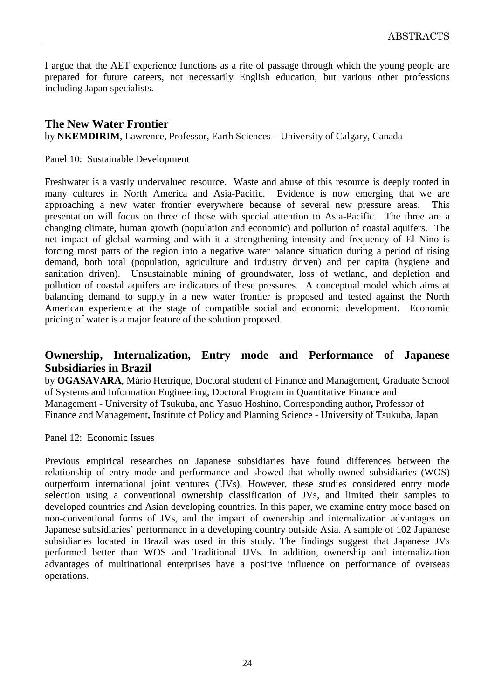I argue that the AET experience functions as a rite of passage through which the young people are prepared for future careers, not necessarily English education, but various other professions including Japan specialists.

# **The New Water Frontier**

by **NKEMDIRIM**, Lawrence, Professor, Earth Sciences – University of Calgary, Canada

Panel 10: Sustainable Development

Freshwater is a vastly undervalued resource. Waste and abuse of this resource is deeply rooted in many cultures in North America and Asia-Pacific. Evidence is now emerging that we are approaching a new water frontier everywhere because of several new pressure areas. This presentation will focus on three of those with special attention to Asia-Pacific. The three are a changing climate, human growth (population and economic) and pollution of coastal aquifers. The net impact of global warming and with it a strengthening intensity and frequency of El Nino is forcing most parts of the region into a negative water balance situation during a period of rising demand, both total (population, agriculture and industry driven) and per capita (hygiene and sanitation driven). Unsustainable mining of groundwater, loss of wetland, and depletion and pollution of coastal aquifers are indicators of these pressures. A conceptual model which aims at balancing demand to supply in a new water frontier is proposed and tested against the North American experience at the stage of compatible social and economic development. Economic pricing of water is a major feature of the solution proposed.

# **Ownership, Internalization, Entry mode and Performance of Japanese Subsidiaries in Brazil**

by **OGASAVARA**, Mário Henrique, Doctoral student of Finance and Management, Graduate School of Systems and Information Engineering, Doctoral Program in Quantitative Finance and Management - University of Tsukuba, and Yasuo Hoshino, Corresponding author**,** Professor of Finance and Management**,** Institute of Policy and Planning Science - University of Tsukuba**,** Japan

Panel 12: Economic Issues

Previous empirical researches on Japanese subsidiaries have found differences between the relationship of entry mode and performance and showed that wholly-owned subsidiaries (WOS) outperform international joint ventures (IJVs). However, these studies considered entry mode selection using a conventional ownership classification of JVs, and limited their samples to developed countries and Asian developing countries. In this paper, we examine entry mode based on non-conventional forms of JVs, and the impact of ownership and internalization advantages on Japanese subsidiaries' performance in a developing country outside Asia. A sample of 102 Japanese subsidiaries located in Brazil was used in this study. The findings suggest that Japanese JVs performed better than WOS and Traditional IJVs. In addition, ownership and internalization advantages of multinational enterprises have a positive influence on performance of overseas operations.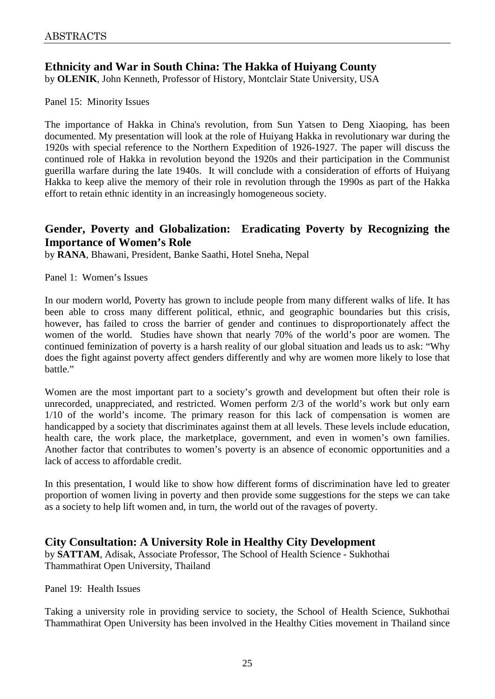# **Ethnicity and War in South China: The Hakka of Huiyang County**

by **OLENIK**, John Kenneth, Professor of History, Montclair State University, USA

#### Panel 15: Minority Issues

The importance of Hakka in China's revolution, from Sun Yatsen to Deng Xiaoping, has been documented. My presentation will look at the role of Huiyang Hakka in revolutionary war during the 1920s with special reference to the Northern Expedition of 1926-1927. The paper will discuss the continued role of Hakka in revolution beyond the 1920s and their participation in the Communist guerilla warfare during the late 1940s. It will conclude with a consideration of efforts of Huiyang Hakka to keep alive the memory of their role in revolution through the 1990s as part of the Hakka effort to retain ethnic identity in an increasingly homogeneous society.

# **Gender, Poverty and Globalization: Eradicating Poverty by Recognizing the Importance of Women's Role**

by **RANA**, Bhawani, President, Banke Saathi, Hotel Sneha, Nepal

Panel 1: Women's Issues

In our modern world, Poverty has grown to include people from many different walks of life. It has been able to cross many different political, ethnic, and geographic boundaries but this crisis, however, has failed to cross the barrier of gender and continues to disproportionately affect the women of the world. Studies have shown that nearly 70% of the world's poor are women. The continued feminization of poverty is a harsh reality of our global situation and leads us to ask: "Why does the fight against poverty affect genders differently and why are women more likely to lose that battle."

Women are the most important part to a society's growth and development but often their role is unrecorded, unappreciated, and restricted. Women perform 2/3 of the world's work but only earn 1/10 of the world's income. The primary reason for this lack of compensation is women are handicapped by a society that discriminates against them at all levels. These levels include education, health care, the work place, the marketplace, government, and even in women's own families. Another factor that contributes to women's poverty is an absence of economic opportunities and a lack of access to affordable credit.

In this presentation, I would like to show how different forms of discrimination have led to greater proportion of women living in poverty and then provide some suggestions for the steps we can take as a society to help lift women and, in turn, the world out of the ravages of poverty.

# **City Consultation: A University Role in Healthy City Development**

by **SATTAM**, Adisak, Associate Professor, The School of Health Science - Sukhothai Thammathirat Open University, Thailand

Panel 19: Health Issues

Taking a university role in providing service to society, the School of Health Science, Sukhothai Thammathirat Open University has been involved in the Healthy Cities movement in Thailand since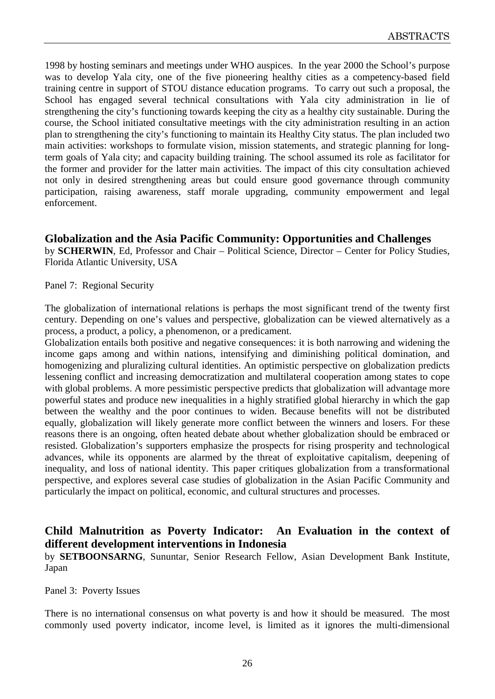1998 by hosting seminars and meetings under WHO auspices. In the year 2000 the School's purpose was to develop Yala city, one of the five pioneering healthy cities as a competency-based field training centre in support of STOU distance education programs. To carry out such a proposal, the School has engaged several technical consultations with Yala city administration in lie of strengthening the city's functioning towards keeping the city as a healthy city sustainable. During the course, the School initiated consultative meetings with the city administration resulting in an action plan to strengthening the city's functioning to maintain its Healthy City status. The plan included two main activities: workshops to formulate vision, mission statements, and strategic planning for longterm goals of Yala city; and capacity building training. The school assumed its role as facilitator for the former and provider for the latter main activities. The impact of this city consultation achieved not only in desired strengthening areas but could ensure good governance through community participation, raising awareness, staff morale upgrading, community empowerment and legal enforcement.

**Globalization and the Asia Pacific Community: Opportunities and Challenges** by **SCHERWIN**, Ed, Professor and Chair – Political Science, Director – Center for Policy Studies, Florida Atlantic University, USA

Panel 7: Regional Security

The globalization of international relations is perhaps the most significant trend of the twenty first century. Depending on one's values and perspective, globalization can be viewed alternatively as a process, a product, a policy, a phenomenon, or a predicament.

Globalization entails both positive and negative consequences: it is both narrowing and widening the income gaps among and within nations, intensifying and diminishing political domination, and homogenizing and pluralizing cultural identities. An optimistic perspective on globalization predicts lessening conflict and increasing democratization and multilateral cooperation among states to cope with global problems. A more pessimistic perspective predicts that globalization will advantage more powerful states and produce new inequalities in a highly stratified global hierarchy in which the gap between the wealthy and the poor continues to widen. Because benefits will not be distributed equally, globalization will likely generate more conflict between the winners and losers. For these reasons there is an ongoing, often heated debate about whether globalization should be embraced or resisted. Globalization's supporters emphasize the prospects for rising prosperity and technological advances, while its opponents are alarmed by the threat of exploitative capitalism, deepening of inequality, and loss of national identity. This paper critiques globalization from a transformational perspective, and explores several case studies of globalization in the Asian Pacific Community and particularly the impact on political, economic, and cultural structures and processes.

# **Child Malnutrition as Poverty Indicator: An Evaluation in the context of different development interventions in Indonesia**

by **SETBOONSARNG**, Sununtar, Senior Research Fellow, Asian Development Bank Institute, Japan

Panel 3: Poverty Issues

There is no international consensus on what poverty is and how it should be measured. The most commonly used poverty indicator, income level, is limited as it ignores the multi-dimensional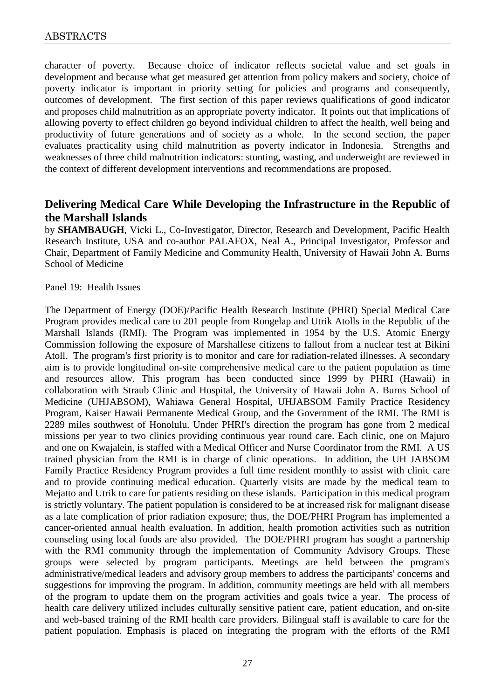character of poverty. Because choice of indicator reflects societal value and set goals in development and because what get measured get attention from policy makers and society, choice of poverty indicator is important in priority setting for policies and programs and consequently, outcomes of development. The first section of this paper reviews qualifications of good indicator and proposes child malnutrition as an appropriate poverty indicator. It points out that implications of allowing poverty to effect children go beyond individual children to affect the health, well being and productivity of future generations and of society as a whole. In the second section, the paper evaluates practicality using child malnutrition as poverty indicator in Indonesia. Strengths and weaknesses of three child malnutrition indicators: stunting, wasting, and underweight are reviewed in the context of different development interventions and recommendations are proposed.

# **Delivering Medical Care While Developing the Infrastructure in the Republic of the Marshall Islands**

by **SHAMBAUGH**, Vicki L., Co-Investigator, Director, Research and Development, Pacific Health Research Institute, USA and co-author PALAFOX, Neal A., Principal Investigator, Professor and Chair, Department of Family Medicine and Community Health, University of Hawaii John A. Burns School of Medicine

Panel 19: Health Issues

The Department of Energy (DOE)/Pacific Health Research Institute (PHRI) Special Medical Care Program provides medical care to 201 people from Rongelap and Utrik Atolls in the Republic of the Marshall Islands (RMI). The Program was implemented in 1954 by the U.S. Atomic Energy Commission following the exposure of Marshallese citizens to fallout from a nuclear test at Bikini Atoll. The program's first priority is to monitor and care for radiation-related illnesses. A secondary aim is to provide longitudinal on-site comprehensive medical care to the patient population as time and resources allow. This program has been conducted since 1999 by PHRI (Hawaii) in collaboration with Straub Clinic and Hospital, the University of Hawaii John A. Burns School of Medicine (UHJABSOM), Wahiawa General Hospital, UHJABSOM Family Practice Residency Program, Kaiser Hawaii Permanente Medical Group, and the Government of the RMI. The RMI is 2289 miles southwest of Honolulu. Under PHRI's direction the program has gone from 2 medical missions per year to two clinics providing continuous year round care. Each clinic, one on Majuro and one on Kwajalein, is staffed with a Medical Officer and Nurse Coordinator from the RMI. A US trained physician from the RMI is in charge of clinic operations. In addition, the UH JABSOM Family Practice Residency Program provides a full time resident monthly to assist with clinic care and to provide continuing medical education. Quarterly visits are made by the medical team to Mejatto and Utrik to care for patients residing on these islands. Participation in this medical program is strictly voluntary. The patient population is considered to be at increased risk for malignant disease as a late complication of prior radiation exposure; thus, the DOE/PHRI Program has implemented a cancer-oriented annual health evaluation. In addition, health promotion activities such as nutrition counseling using local foods are also provided. The DOE/PHRI program has sought a partnership with the RMI community through the implementation of Community Advisory Groups. These groups were selected by program participants. Meetings are held between the program's administrative/medical leaders and advisory group members to address the participants' concerns and suggestions for improving the program. In addition, community meetings are held with all members of the program to update them on the program activities and goals twice a year. The process of health care delivery utilized includes culturally sensitive patient care, patient education, and on-site and web-based training of the RMI health care providers. Bilingual staff is available to care for the patient population. Emphasis is placed on integrating the program with the efforts of the RMI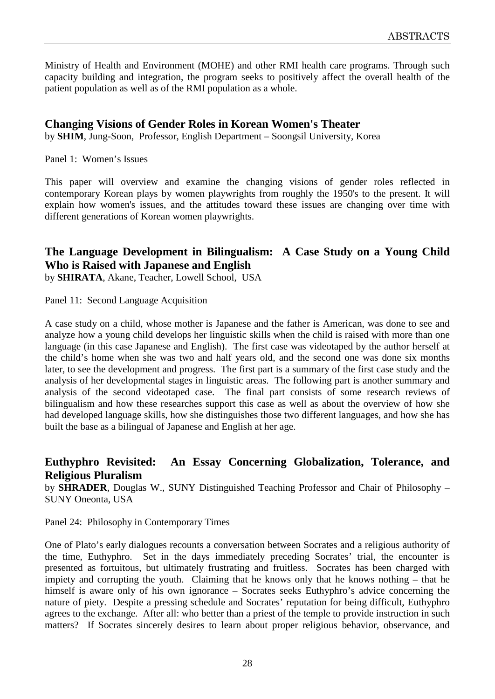Ministry of Health and Environment (MOHE) and other RMI health care programs. Through such capacity building and integration, the program seeks to positively affect the overall health of the patient population as well as of the RMI population as a whole.

# **Changing Visions of Gender Roles in Korean Women's Theater**

by **SHIM**, Jung-Soon, Professor, English Department – Soongsil University, Korea

Panel 1: Women's Issues

This paper will overview and examine the changing visions of gender roles reflected in contemporary Korean plays by women playwrights from roughly the 1950's to the present. It will explain how women's issues, and the attitudes toward these issues are changing over time with different generations of Korean women playwrights.

# **The Language Development in Bilingualism: A Case Study on a Young Child Who is Raised with Japanese and English**

by **SHIRATA**, Akane, Teacher, Lowell School, USA

Panel 11: Second Language Acquisition

A case study on a child, whose mother is Japanese and the father is American, was done to see and analyze how a young child develops her linguistic skills when the child is raised with more than one language (in this case Japanese and English). The first case was videotaped by the author herself at the child's home when she was two and half years old, and the second one was done six months later, to see the development and progress. The first part is a summary of the first case study and the analysis of her developmental stages in linguistic areas. The following part is another summary and analysis of the second videotaped case. The final part consists of some research reviews of bilingualism and how these researches support this case as well as about the overview of how she had developed language skills, how she distinguishes those two different languages, and how she has built the base as a bilingual of Japanese and English at her age.

# **Euthyphro Revisited: An Essay Concerning Globalization, Tolerance, and Religious Pluralism**

by **SHRADER**, Douglas W., SUNY Distinguished Teaching Professor and Chair of Philosophy – SUNY Oneonta, USA

Panel 24: Philosophy in Contemporary Times

One of Plato's early dialogues recounts a conversation between Socrates and a religious authority of the time, Euthyphro. Set in the days immediately preceding Socrates' trial, the encounter is presented as fortuitous, but ultimately frustrating and fruitless. Socrates has been charged with impiety and corrupting the youth. Claiming that he knows only that he knows nothing – that he himself is aware only of his own ignorance – Socrates seeks Euthyphro's advice concerning the nature of piety. Despite a pressing schedule and Socrates' reputation for being difficult, Euthyphro agrees to the exchange. After all: who better than a priest of the temple to provide instruction in such matters? If Socrates sincerely desires to learn about proper religious behavior, observance, and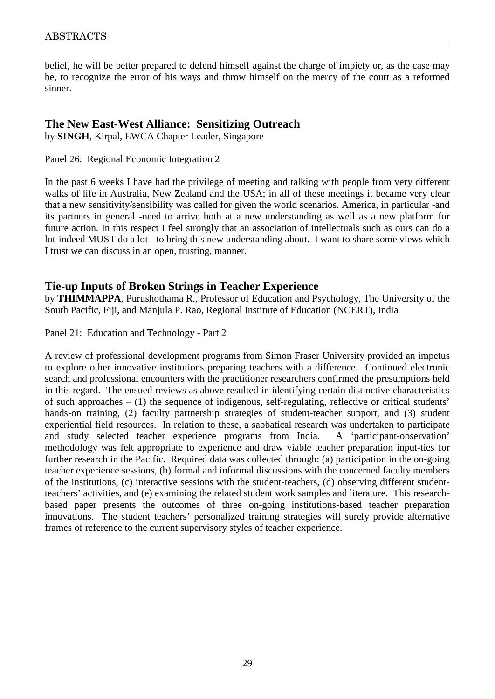belief, he will be better prepared to defend himself against the charge of impiety or, as the case may be, to recognize the error of his ways and throw himself on the mercy of the court as a reformed sinner.

### **The New East-West Alliance: Sensitizing Outreach**

by **SINGH**, Kirpal, EWCA Chapter Leader, Singapore

Panel 26: Regional Economic Integration 2

In the past 6 weeks I have had the privilege of meeting and talking with people from very different walks of life in Australia, New Zealand and the USA; in all of these meetings it became very clear that a new sensitivity/sensibility was called for given the world scenarios. America, in particular -and its partners in general -need to arrive both at a new understanding as well as a new platform for future action. In this respect I feel strongly that an association of intellectuals such as ours can do a lot-indeed MUST do a lot - to bring this new understanding about. I want to share some views which I trust we can discuss in an open, trusting, manner.

# **Tie-up Inputs of Broken Strings in Teacher Experience**

by **THIMMAPPA**, Purushothama R., Professor of Education and Psychology, The University of the South Pacific, Fiji, and Manjula P. Rao, Regional Institute of Education (NCERT), India

Panel 21: Education and Technology - Part 2

A review of professional development programs from Simon Fraser University provided an impetus to explore other innovative institutions preparing teachers with a difference. Continued electronic search and professional encounters with the practitioner researchers confirmed the presumptions held in this regard. The ensued reviews as above resulted in identifying certain distinctive characteristics of such approaches – (1) the sequence of indigenous, self-regulating, reflective or critical students' hands-on training, (2) faculty partnership strategies of student-teacher support, and (3) student experiential field resources. In relation to these, a sabbatical research was undertaken to participate and study selected teacher experience programs from India. A 'participant-observation' methodology was felt appropriate to experience and draw viable teacher preparation input-ties for further research in the Pacific. Required data was collected through: (a) participation in the on-going teacher experience sessions, (b) formal and informal discussions with the concerned faculty members of the institutions, (c) interactive sessions with the student-teachers, (d) observing different studentteachers' activities, and (e) examining the related student work samples and literature. This researchbased paper presents the outcomes of three on-going institutions-based teacher preparation innovations. The student teachers' personalized training strategies will surely provide alternative frames of reference to the current supervisory styles of teacher experience.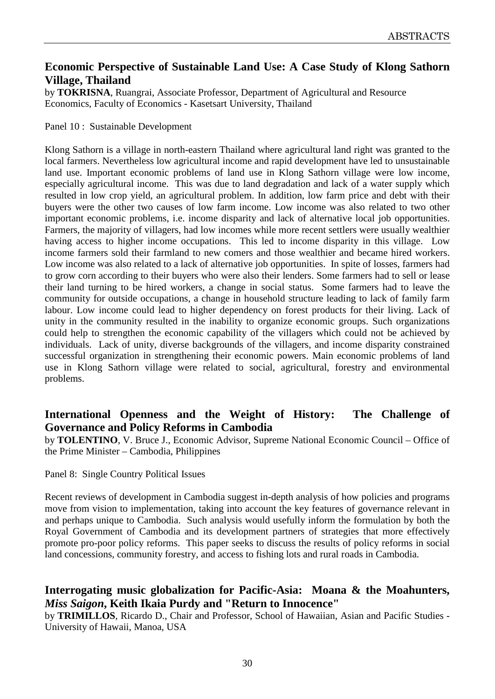# **Economic Perspective of Sustainable Land Use: A Case Study of Klong Sathorn Village, Thailand**

by **TOKRISNA**, Ruangrai, Associate Professor, Department of Agricultural and Resource Economics, Faculty of Economics - Kasetsart University, Thailand

Panel 10 : Sustainable Development

Klong Sathorn is a village in north-eastern Thailand where agricultural land right was granted to the local farmers. Nevertheless low agricultural income and rapid development have led to unsustainable land use. Important economic problems of land use in Klong Sathorn village were low income, especially agricultural income. This was due to land degradation and lack of a water supply which resulted in low crop yield, an agricultural problem. In addition, low farm price and debt with their buyers were the other two causes of low farm income. Low income was also related to two other important economic problems, i.e. income disparity and lack of alternative local job opportunities. Farmers, the majority of villagers, had low incomes while more recent settlers were usually wealthier having access to higher income occupations. This led to income disparity in this village. Low income farmers sold their farmland to new comers and those wealthier and became hired workers. Low income was also related to a lack of alternative job opportunities. In spite of losses, farmers had to grow corn according to their buyers who were also their lenders. Some farmers had to sell or lease their land turning to be hired workers, a change in social status. Some farmers had to leave the community for outside occupations, a change in household structure leading to lack of family farm labour. Low income could lead to higher dependency on forest products for their living. Lack of unity in the community resulted in the inability to organize economic groups. Such organizations could help to strengthen the economic capability of the villagers which could not be achieved by individuals. Lack of unity, diverse backgrounds of the villagers, and income disparity constrained successful organization in strengthening their economic powers. Main economic problems of land use in Klong Sathorn village were related to social, agricultural, forestry and environmental problems.

# **International Openness and the Weight of History: The Challenge of Governance and Policy Reforms in Cambodia**

by **TOLENTINO**, V. Bruce J., Economic Advisor, Supreme National Economic Council – Office of the Prime Minister – Cambodia, Philippines

Panel 8: Single Country Political Issues

Recent reviews of development in Cambodia suggest in-depth analysis of how policies and programs move from vision to implementation, taking into account the key features of governance relevant in and perhaps unique to Cambodia. Such analysis would usefully inform the formulation by both the Royal Government of Cambodia and its development partners of strategies that more effectively promote pro-poor policy reforms. This paper seeks to discuss the results of policy reforms in social land concessions, community forestry, and access to fishing lots and rural roads in Cambodia.

# **Interrogating music globalization for Pacific-Asia: Moana & the Moahunters,**  *Miss Saigon***, Keith Ikaia Purdy and "Return to Innocence"**

by **TRIMILLOS**, Ricardo D., Chair and Professor, School of Hawaiian, Asian and Pacific Studies - University of Hawaii, Manoa, USA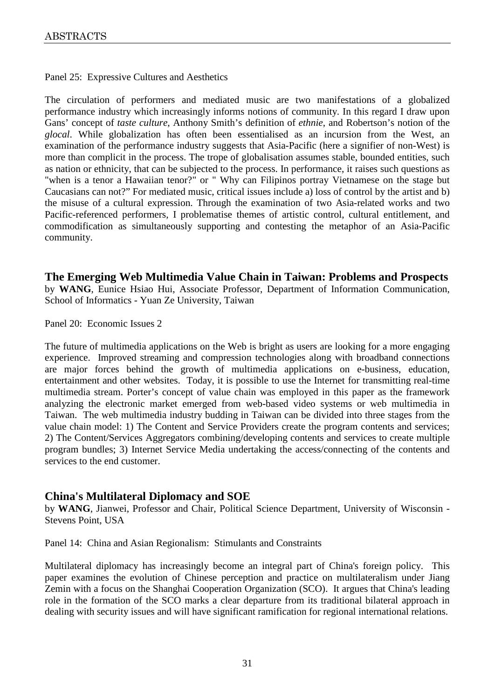Panel 25: Expressive Cultures and Aesthetics

The circulation of performers and mediated music are two manifestations of a globalized performance industry which increasingly informs notions of community. In this regard I draw upon Gans' concept of *taste culture*, Anthony Smith's definition of *ethnie*, and Robertson's notion of the *glocal*. While globalization has often been essentialised as an incursion from the West, an examination of the performance industry suggests that Asia-Pacific (here a signifier of non-West) is more than complicit in the process. The trope of globalisation assumes stable, bounded entities, such as nation or ethnicity, that can be subjected to the process. In performance, it raises such questions as "when is a tenor a Hawaiian tenor?" or " Why can Filipinos portray Vietnamese on the stage but Caucasians can not?" For mediated music, critical issues include a) loss of control by the artist and b) the misuse of a cultural expression. Through the examination of two Asia-related works and two Pacific-referenced performers, I problematise themes of artistic control, cultural entitlement, and commodification as simultaneously supporting and contesting the metaphor of an Asia-Pacific community.

**The Emerging Web Multimedia Value Chain in Taiwan: Problems and Prospects**  by **WANG**, Eunice Hsiao Hui, Associate Professor, Department of Information Communication, School of Informatics - Yuan Ze University, Taiwan

Panel 20: Economic Issues 2

The future of multimedia applications on the Web is bright as users are looking for a more engaging experience. Improved streaming and compression technologies along with broadband connections are major forces behind the growth of multimedia applications on e-business, education, entertainment and other websites. Today, it is possible to use the Internet for transmitting real-time multimedia stream. Porter's concept of value chain was employed in this paper as the framework analyzing the electronic market emerged from web-based video systems or web multimedia in Taiwan. The web multimedia industry budding in Taiwan can be divided into three stages from the value chain model: 1) The Content and Service Providers create the program contents and services; 2) The Content/Services Aggregators combining/developing contents and services to create multiple program bundles; 3) Internet Service Media undertaking the access/connecting of the contents and services to the end customer.

# **China's Multilateral Diplomacy and SOE**

by **WANG**, Jianwei, Professor and Chair, Political Science Department, University of Wisconsin - Stevens Point, USA

Panel 14: China and Asian Regionalism: Stimulants and Constraints

Multilateral diplomacy has increasingly become an integral part of China's foreign policy. This paper examines the evolution of Chinese perception and practice on multilateralism under Jiang Zemin with a focus on the Shanghai Cooperation Organization (SCO). It argues that China's leading role in the formation of the SCO marks a clear departure from its traditional bilateral approach in dealing with security issues and will have significant ramification for regional international relations.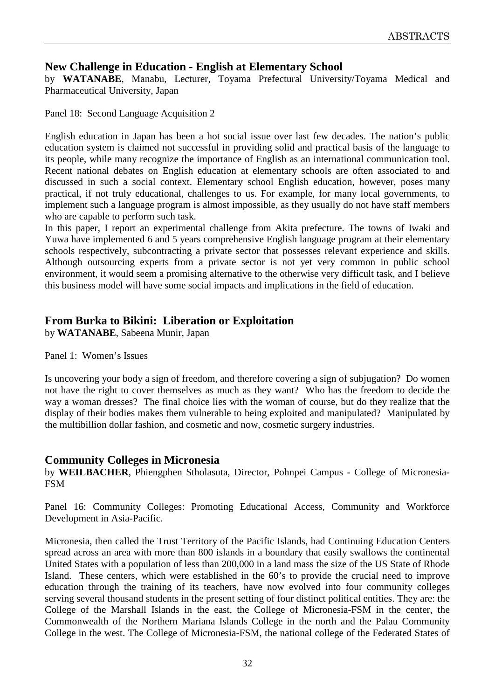# **New Challenge in Education - English at Elementary School**

by **WATANABE**, Manabu, Lecturer, Toyama Prefectural University/Toyama Medical and Pharmaceutical University, Japan

Panel 18: Second Language Acquisition 2

English education in Japan has been a hot social issue over last few decades. The nation's public education system is claimed not successful in providing solid and practical basis of the language to its people, while many recognize the importance of English as an international communication tool. Recent national debates on English education at elementary schools are often associated to and discussed in such a social context. Elementary school English education, however, poses many practical, if not truly educational, challenges to us. For example, for many local governments, to implement such a language program is almost impossible, as they usually do not have staff members who are capable to perform such task.

In this paper, I report an experimental challenge from Akita prefecture. The towns of Iwaki and Yuwa have implemented 6 and 5 years comprehensive English language program at their elementary schools respectively, subcontracting a private sector that possesses relevant experience and skills. Although outsourcing experts from a private sector is not yet very common in public school environment, it would seem a promising alternative to the otherwise very difficult task, and I believe this business model will have some social impacts and implications in the field of education.

# **From Burka to Bikini: Liberation or Exploitation**

by **WATANABE**, Sabeena Munir, Japan

Panel 1: Women's Issues

Is uncovering your body a sign of freedom, and therefore covering a sign of subjugation? Do women not have the right to cover themselves as much as they want? Who has the freedom to decide the way a woman dresses? The final choice lies with the woman of course, but do they realize that the display of their bodies makes them vulnerable to being exploited and manipulated? Manipulated by the multibillion dollar fashion, and cosmetic and now, cosmetic surgery industries.

# **Community Colleges in Micronesia**

by **WEILBACHER**, Phiengphen Stholasuta, Director, Pohnpei Campus - College of Micronesia-FSM

Panel 16: Community Colleges: Promoting Educational Access, Community and Workforce Development in Asia-Pacific.

Micronesia, then called the Trust Territory of the Pacific Islands, had Continuing Education Centers spread across an area with more than 800 islands in a boundary that easily swallows the continental United States with a population of less than 200,000 in a land mass the size of the US State of Rhode Island. These centers, which were established in the 60's to provide the crucial need to improve education through the training of its teachers, have now evolved into four community colleges serving several thousand students in the present setting of four distinct political entities. They are: the College of the Marshall Islands in the east, the College of Micronesia-FSM in the center, the Commonwealth of the Northern Mariana Islands College in the north and the Palau Community College in the west. The College of Micronesia-FSM, the national college of the Federated States of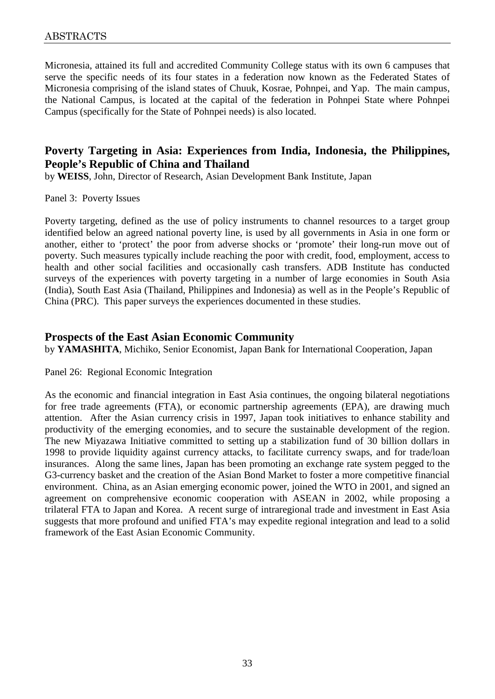Micronesia, attained its full and accredited Community College status with its own 6 campuses that serve the specific needs of its four states in a federation now known as the Federated States of Micronesia comprising of the island states of Chuuk, Kosrae, Pohnpei, and Yap. The main campus, the National Campus, is located at the capital of the federation in Pohnpei State where Pohnpei Campus (specifically for the State of Pohnpei needs) is also located.

# **Poverty Targeting in Asia: Experiences from India, Indonesia, the Philippines, People's Republic of China and Thailand**

by **WEISS**, John, Director of Research, Asian Development Bank Institute, Japan

Panel 3: Poverty Issues

Poverty targeting, defined as the use of policy instruments to channel resources to a target group identified below an agreed national poverty line, is used by all governments in Asia in one form or another, either to 'protect' the poor from adverse shocks or 'promote' their long-run move out of poverty. Such measures typically include reaching the poor with credit, food, employment, access to health and other social facilities and occasionally cash transfers. ADB Institute has conducted surveys of the experiences with poverty targeting in a number of large economies in South Asia (India), South East Asia (Thailand, Philippines and Indonesia) as well as in the People's Republic of China (PRC). This paper surveys the experiences documented in these studies.

#### **Prospects of the East Asian Economic Community**

by **YAMASHITA**, Michiko, Senior Economist, Japan Bank for International Cooperation, Japan

Panel 26: Regional Economic Integration

As the economic and financial integration in East Asia continues, the ongoing bilateral negotiations for free trade agreements (FTA), or economic partnership agreements (EPA), are drawing much attention. After the Asian currency crisis in 1997, Japan took initiatives to enhance stability and productivity of the emerging economies, and to secure the sustainable development of the region. The new Miyazawa Initiative committed to setting up a stabilization fund of 30 billion dollars in 1998 to provide liquidity against currency attacks, to facilitate currency swaps, and for trade/loan insurances. Along the same lines, Japan has been promoting an exchange rate system pegged to the G3-currency basket and the creation of the Asian Bond Market to foster a more competitive financial environment. China, as an Asian emerging economic power, joined the WTO in 2001, and signed an agreement on comprehensive economic cooperation with ASEAN in 2002, while proposing a trilateral FTA to Japan and Korea. A recent surge of intraregional trade and investment in East Asia suggests that more profound and unified FTA's may expedite regional integration and lead to a solid framework of the East Asian Economic Community.